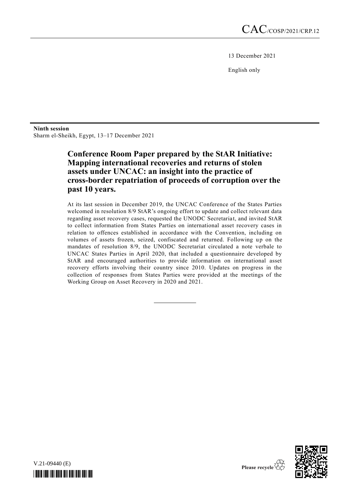13 December 2021

English only

#### **Ninth session** Sharm el-Sheikh, Egypt, 13–17 December 2021

## **Conference Room Paper prepared by the StAR Initiative: Mapping international recoveries and returns of stolen assets under UNCAC: an insight into the practice of cross-border repatriation of proceeds of corruption over the past 10 years.**

At its last session in December 2019, the UNCAC Conference of the States Parties welcomed in resolution 8/9 StAR's ongoing effort to update and collect relevant data regarding asset recovery cases, requested the UNODC Secretariat, and invited StAR to collect information from States Parties on international asset recovery cases in relation to offences established in accordance with the Convention, including on volumes of assets frozen, seized, confiscated and returned. Following up on the mandates of resolution 8/9, the UNODC Secretariat circulated a note verbale to UNCAC States Parties in April 2020, that included a questionnaire developed by StAR and encouraged authorities to provide information on international asset recovery efforts involving their country since 2010. Updates on progress in the collection of responses from States Parties were provided at the meetings of the Working Group on Asset Recovery in 2020 and 2021.

V.21-09440 (E) *\*2109440\**

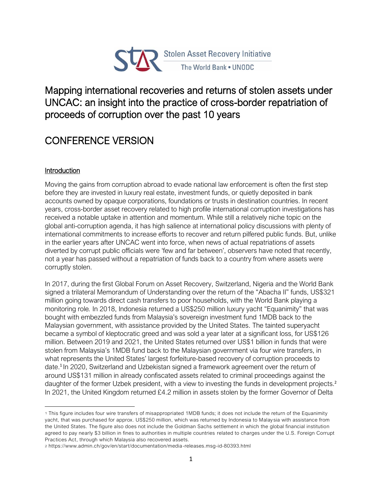

## Mapping international recoveries and returns of stolen assets under UNCAC: an insight into the practice of cross-border repatriation of proceeds of corruption over the past 10 years

# CONFERENCE VERSION

## **Introduction**

Moving the gains from corruption abroad to evade national law enforcement is often the first step before they are invested in luxury real estate, investment funds, or quietly deposited in bank accounts owned by opaque corporations, foundations or trusts in destination countries. In recent years, cross-border asset recovery related to high profile international corruption investigations has received a notable uptake in attention and momentum. While still a relatively niche topic on the global anti-corruption agenda, it has high salience at international policy discussions with plenty of international commitments to increase efforts to recover and return pilfered public funds. But, unlike in the earlier years after UNCAC went into force, when news of actual repatriations of assets diverted by corrupt public officials were 'few and far between', observers have noted that recently, not a year has passed without a repatriation of funds back to a country from where assets were corruptly stolen.

In 2017, during the first Global Forum on Asset Recovery, Switzerland, Nigeria and the World Bank signed a trilateral Memorandum of Understanding over the return of the "Abacha II" funds, US\$321 million going towards direct cash transfers to poor households, with the World Bank playing a monitoring role*.* In 2018, Indonesia returned a US\$250 million luxury yacht "Equanimity" that was bought with embezzled funds from Malaysia's sovereign investment fund 1MDB back to the Malaysian government, with assistance provided by the United States. The tainted superyacht became a symbol of kleptocratic greed and was sold a year later at a significant loss, for US\$126 million. Between 2019 and 2021, the United States returned over US\$1 billion in funds that were stolen from Malaysia's 1MDB fund back to the Malaysian government via four wire transfers, in what represents the United States' largest forfeiture-based recovery of corruption proceeds to date. 1 In 2020, Switzerland and Uzbekistan signed a framework agreement over the return of around US\$131 million in already confiscated assets related to criminal proceedings against the daughter of the former Uzbek president, with a view to investing the funds in development projects.<sup>2</sup> In 2021, the United Kingdom returned £4.2 million in assets stolen by the former Governor of Delta

<sup>1</sup> This figure includes four wire transfers of misappropriated 1MDB funds; it does not include the return of the Equanimity yacht, that was purchased for approx. US\$250 million, which was returned by Indonesia to Malay sia with assistance from the United States. The figure also does not include the Goldman Sachs settlement in which the global financial institution agreed to pay nearly \$3 billion in fines to authorities in multiple countries related to charges under the U.S. Foreign Corrupt Practices Act, through which Malaysia also recovered assets.

<sup>2</sup> https://www.admin.ch/gov/en/start/documentation/media-releases.msg-id-80393.html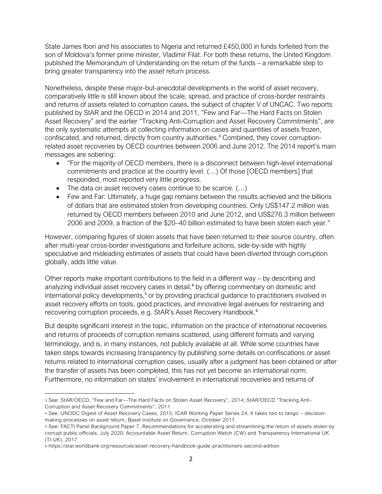State James Ibori and his associates to Nigeria and returned £450,000 in funds forfeited from the son of Moldova's former prime minister, Vladimir Filat. For both these returns, the United Kingdom published the Memorandum of Understanding on the return of the funds – a remarkable step to bring greater transparency into the asset return process.

Nonetheless, despite these major-but-anecdotal developments in the world of asset recovery, comparatively little is still known about the scale, spread, and practice of cross-border restraints and returns of assets related to corruption cases, the subject of chapter V of UNCAC. Two reports published by StAR and the OECD in 2014 and 2011, "Few and Far—The Hard Facts on Stolen Asset Recovery" and the earlier "Tracking Anti-Corruption and Asset Recovery Commitments", are the only systematic attempts at collecting information on cases and quantities of assets frozen, confiscated, and returned, directly from country authorities.<sup>3</sup> Combined, they cover corruptionrelated asset recoveries by OECD countries between 2006 and June 2012. The 2014 report's main messages are sobering:

- "For the majority of OECD members, there is a disconnect between high-level international commitments and practice at the country level. (…) Of those [OECD members] that responded, most reported very little progress.
- The data on asset recovery cases continue to be scarce.  $(...)$
- Few and Far: Ultimately, a huge gap remains between the results achieved and the billions of dollars that are estimated stolen from developing countries. Only US\$147.2 million was returned by OECD members between 2010 and June 2012, and US\$276.3 million between 2006 and 2009, a fraction of the \$20–40 billion estimated to have been stolen each year."

However, comparing figures of stolen assets that have been returned to their source country, often after multi-year cross-border investigations and forfeiture actions, side-by-side with highly speculative and misleading estimates of assets that could have been diverted through corruption globally, adds little value.

Other reports make important contributions to the field in a different way – by describing and analyzing individual asset recovery cases in detail, <sup>4</sup> by offering commentary on domestic and international policy developments, <sup>5</sup> or by providing practical guidance to practitioners involved in asset recovery efforts on tools, good practices, and innovative legal avenues for restraining and recovering corruption proceeds, e.g. StAR's Asset Recovery Handbook. 6

But despite significant interest in the topic, information on the practice of international recoveries and returns of proceeds of corruption remains scattered, using different formats and varying terminology, and is, in many instances, not publicly available at all. While some countries have taken steps towards increasing transparency by publishing some details on confiscations or asset returns related to international corruption cases, usually after a judgment has been obtained or after the transfer of assets has been completed, this has not yet become an international norm. Furthermore, no information on states' involvement in international recoveries and returns of

<sup>3</sup> See: StAR/OECD, "Few and Far—The Hard Facts on Stolen Asset Recovery", 2014; StAR/OECD "Tracking Anti-Corruption and Asset Recovery Commitments", 2011.

<sup>4</sup> See: UNODC Digest of Asset Recovery Cases, 2015; ICAR Working Paper Series 24, It takes two to tango – decisionmaking processes on asset return, Basel Institute on Governance, October 2017.

<sup>5</sup> See: FACTI Panel Background Paper 7, Recommendations for accelerating and streamlining the return of assets stolen by corrupt public officials, July 2020; Accountable Asset Return, Corruption Watch (CW) and Transparency International UK (TI-UK), 2017.

<sup>6</sup> https://star.worldbank.org/resources/asset-recovery-handbook-guide-practitioners-second-edition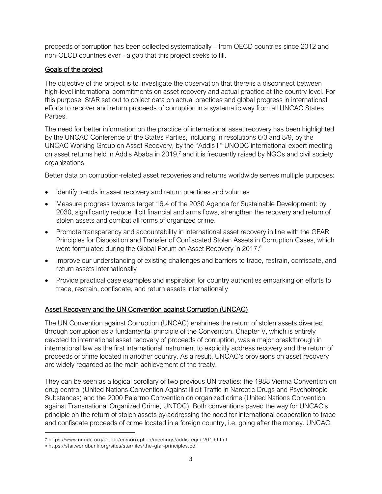proceeds of corruption has been collected systematically – from OECD countries since 2012 and non-OECD countries ever - a gap that this project seeks to fill.

## Goals of the project

The objective of the project is to investigate the observation that there is a disconnect between high-level international commitments on asset recovery and actual practice at the country level. For this purpose, StAR set out to collect data on actual practices and global progress in international efforts to recover and return proceeds of corruption in a systematic way from all UNCAC States Parties.

The need for better information on the practice of international asset recovery has been highlighted by the UNCAC Conference of the States Parties, including in resolutions 6/3 and 8/9, by the UNCAC Working Group on Asset Recovery, by the "Addis II" UNODC international expert meeting on asset returns held in Addis Ababa in 2019,<sup>7</sup> and it is frequently raised by NGOs and civil society organizations.

Better data on corruption-related asset recoveries and returns worldwide serves multiple purposes:

- Identify trends in asset recovery and return practices and volumes
- Measure progress towards target 16.4 of the 2030 Agenda for Sustainable Development: by 2030, significantly reduce illicit financial and arms flows, strengthen the recovery and return of stolen assets and combat all forms of organized crime.
- Promote transparency and accountability in international asset recovery in line with the GFAR [Principles](https://star.worldbank.org/gfar-principles) for Disposition and Transfer of Confiscated Stolen Assets in Corruption Cases, which were formulated during the Global Forum on Asset Recovery in 2017.<sup>8</sup>
- Improve our understanding of existing challenges and barriers to trace, restrain, confiscate, and return assets internationally
- Provide practical case examples and inspiration for country authorities embarking on efforts to trace, restrain, confiscate, and return assets internationally

## Asset Recovery and the UN Convention against Corruption (UNCAC)

The UN Convention against Corruption (UNCAC) enshrines the return of stolen assets diverted through corruption as a fundamental principle of the Convention. Chapter V, which is entirely devoted to international asset recovery of proceeds of corruption, was a major breakthrough in international law as the first international instrument to explicitly address recovery and the return of proceeds of crime located in another country. As a result, UNCAC's provisions on asset recovery are widely regarded as the main achievement of the treaty.

They can be seen as a logical corollary of two previous UN treaties: the 1988 Vienna Convention on drug control (United Nations Convention Against Illicit Traffic in Narcotic Drugs and Psychotropic Substances) and the 2000 Palermo Convention on organized crime (United Nations Convention against Transnational Organized Crime, UNTOC). Both conventions paved the way for UNCAC's principle on the return of stolen assets by addressing the need for international cooperation to trace and confiscate proceeds of crime located in a foreign country, i.e. going after the money. UNCAC

<sup>7</sup> https://www.unodc.org/unodc/en/corruption/meetings/addis -egm-2019.html

<sup>8</sup> https://star.worldbank.org/sites/star/files/the-gfar-principles.pdf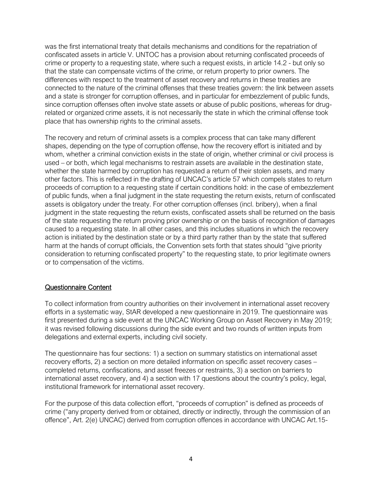was the first international treaty that details mechanisms and conditions for the repatriation of confiscated assets in article V. UNTOC has a provision about returning confiscated proceeds of crime or property to a requesting state, where such a request exists, in article 14.2 - but only so that the state can compensate victims of the crime, or return property to prior owners. The differences with respect to the treatment of asset recovery and returns in these treaties are connected to the nature of the criminal offenses that these treaties govern: the link between assets and a state is stronger for corruption offenses, and in particular for embezzlement of public funds, since corruption offenses often involve state assets or abuse of public positions, whereas for drugrelated or organized crime assets, it is not necessarily the state in which the criminal offense took place that has ownership rights to the criminal assets.

The recovery and return of criminal assets is a complex process that can take many different shapes, depending on the type of corruption offense, how the recovery effort is initiated and by whom, whether a criminal conviction exists in the state of origin, whether criminal or civil process is used – or both, which legal mechanisms to restrain assets are available in the destination state, whether the state harmed by corruption has requested a return of their stolen assets, and many other factors. This is reflected in the drafting of UNCAC's article 57 which compels states to return proceeds of corruption to a requesting state if certain conditions hold: in the case of embezzlement of public funds, when a final judgment in the state requesting the return exists, return of confiscated assets is obligatory under the treaty. For other corruption offenses (incl. bribery), when a final judgment in the state requesting the return exists, confiscated assets shall be returned on the basis of the state requesting the return proving prior ownership or on the basis of recognition of damages caused to a requesting state. In all other cases, and this includes situations in which the recovery action is initiated by the destination state or by a third party rather than by the state that suffered harm at the hands of corrupt officials, the Convention sets forth that states should "give priority consideration to returning confiscated property" to the requesting state, to prior legitimate owners or to compensation of the victims.

#### Questionnaire Content

To collect information from country authorities on their involvement in international asset recovery efforts in a systematic way, StAR developed a new questionnaire in 2019. The questionnaire was first presented during a side event at the UNCAC Working Group on Asset Recovery in May 2019; it was revised following discussions during the side event and two rounds of written inputs from delegations and external experts, including civil society.

The questionnaire has four sections: 1) a section on summary statistics on international asset recovery efforts, 2) a section on more detailed information on specific asset recovery cases – completed returns, confiscations, and asset freezes or restraints, 3) a section on barriers to international asset recovery, and 4) a section with 17 questions about the country's policy, legal, institutional framework for international asset recovery.

For the purpose of this data collection effort, "proceeds of corruption" is defined as proceeds of crime ("any property derived from or obtained, directly or indirectly, through the commission of an offence", Art. 2(e) UNCAC) derived from corruption offences in accordance with UNCAC Art.15-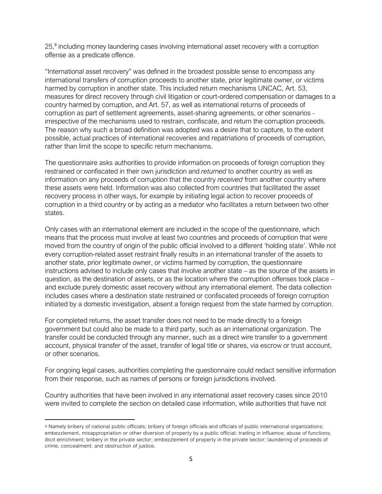25,<sup>9</sup> including money laundering cases involving international asset recovery with a corruption offense as a predicate offence.

"International asset recovery" was defined in the broadest possible sense to encompass any international transfers of corruption proceeds to another state, prior legitimate owner, or victims harmed by corruption in another state. This included return mechanisms UNCAC, Art. 53, measures for direct recovery through civil litigation or court-ordered compensation or damages to a country harmed by corruption, and Art. 57, as well as international returns of proceeds of corruption as part of settlement agreements, asset-sharing agreements, or other scenarios irrespective of the mechanisms used to restrain, confiscate, and return the corruption proceeds. The reason why such a broad definition was adopted was a desire that to capture, to the extent possible, actual practices of international recoveries and repatriations of proceeds of corruption, rather than limit the scope to specific return mechanisms.

The questionnaire asks authorities to provide information on proceeds of foreign corruption they restrained or confiscated in their own jurisdiction and *returned* to another country as well as information on any proceeds of corruption that the country *received* from another country where these assets were held. Information was also collected from countries that facilitated the asset recovery process in other ways, for example by initiating legal action to recover proceeds of corruption in a third country or by acting as a mediator who facilitates a return between two other states.

Only cases with an international element are included in the scope of the questionnaire, which means that the process must involve at least two countries and proceeds of corruption that were moved from the country of origin of the public official involved to a different 'holding state'. While not every corruption-related asset restraint finally results in an international transfer of the assets to another state, prior legitimate owner, or victims harmed by corruption, the questionnaire instructions advised to include only cases that involve another state – as the source of the assets in question, as the destination of assets, or as the location where the corruption offenses took place – and exclude purely domestic asset recovery without any international element. The data collection includes cases where a destination state restrained or confiscated proceeds of foreign corruption initiated by a domestic investigation, absent a foreign request from the state harmed by corruption.

For completed returns, the asset transfer does not need to be made directly to a foreign government but could also be made to a third party, such as an international organization. The transfer could be conducted through any manner, such as a direct wire transfer to a government account, physical transfer of the asset, transfer of legal title or shares, via escrow or trust account, or other scenarios.

For ongoing legal cases, authorities completing the questionnaire could redact sensitive information from their response, such as names of persons or foreign jurisdictions involved.

Country authorities that have been involved in any international asset recovery cases since 2010 were invited to complete the section on detailed case information, while authorities that have not

<sup>9</sup> Namely bribery of national public officials; bribery of foreign officials and officials of public international organizations; embezzlement, misappropriation or other diversion of property by a public official; trading in influence; abuse of functions; illicit enrichment; bribery in the private sector; embezzlement of property in the private sector; laundering of proceeds of crime, concealment; and obstruction of justice.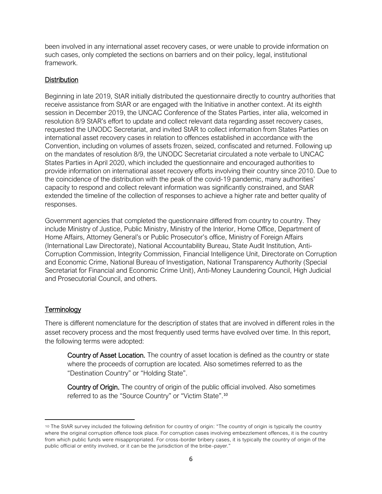been involved in any international asset recovery cases, or were unable to provide information on such cases, only completed the sections on barriers and on their policy, legal, institutional framework.

## **Distribution**

Beginning in late 2019, StAR initially distributed the questionnaire directly to country authorities that receive assistance from StAR or are engaged with the Initiative in another context. At its eighth session in December 2019, the UNCAC Conference of the States Parties, inter alia, welcomed in resolution 8/9 StAR's effort to update and collect relevant data regarding asset recovery cases, requested the UNODC Secretariat, and invited StAR to collect information from States Parties on international asset recovery cases in relation to offences established in accordance with the Convention, including on volumes of assets frozen, seized, confiscated and returned. Following up on the mandates of resolution 8/9, the UNODC Secretariat circulated a note verbale to UNCAC States Parties in April 2020, which included the questionnaire and encouraged authorities to provide information on international asset recovery efforts involving their country since 2010. Due to the coincidence of the distribution with the peak of the covid-19 pandemic, many authorities' capacity to respond and collect relevant information was significantly constrained, and StAR extended the timeline of the collection of responses to achieve a higher rate and better quality of responses.

Government agencies that completed the questionnaire differed from country to country. They include Ministry of Justice, Public Ministry, Ministry of the Interior, Home Office, Department of Home Affairs, Attorney General's or Public Prosecutor's office, Ministry of Foreign Affairs (International Law Directorate), National Accountability Bureau, State Audit Institution, Anti-Corruption Commission, Integrity Commission, Financial Intelligence Unit, Directorate on Corruption and Economic Crime, National Bureau of Investigation, National Transparency Authority (Special Secretariat for Financial and Economic Crime Unit), Anti-Money Laundering Council, High Judicial and Prosecutorial Council, and others.

## **Terminology**

There is different nomenclature for the description of states that are involved in different roles in the asset recovery process and the most frequently used terms have evolved over time. In this report, the following terms were adopted:

Country of Asset Location. The country of asset location is defined as the country or state where the proceeds of corruption are located. Also sometimes referred to as the "Destination Country" or "Holding State".

Country of Origin. The country of origin of the public official involved. Also sometimes referred to as the "Source Country" or "Victim State".<sup>10</sup>

<sup>10</sup> The StAR survey included the following definition for country of origin: "The country of origin is typically the country where the original corruption offence took place. For corruption cases involving embezzlement offences, it is the country from which public funds were misappropriated. For cross-border bribery cases, it is typically the country of origin of the public official or entity involved, or it can be the jurisdiction of the bribe -payer."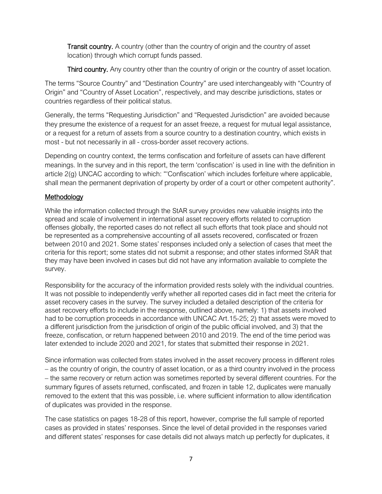Transit country. A country (other than the country of origin and the country of asset location) through which corrupt funds passed.

Third country. Any country other than the country of origin or the country of asset location.

The terms "Source Country" and "Destination Country" are used interchangeably with "Country of Origin" and "Country of Asset Location", respectively, and may describe jurisdictions, states or countries regardless of their political status.

Generally, the terms "Requesting Jurisdiction" and "Requested Jurisdiction" are avoided because they presume the existence of a request for an asset freeze, a request for mutual legal assistance, or a request for a return of assets from a source country to a destination country, which exists in most - but not necessarily in all - cross-border asset recovery actions.

Depending on country context, the terms confiscation and forfeiture of assets can have different meanings. In the survey and in this report, the term 'confiscation' is used in line with the definition in article 2(g) UNCAC according to which: "'Confiscation' which includes forfeiture where applicable, shall mean the permanent deprivation of property by order of a court or other competent authority".

## Methodology

While the information collected through the StAR survey provides new valuable insights into the spread and scale of involvement in international asset recovery efforts related to corruption offenses globally, the reported cases do not reflect all such efforts that took place and should not be represented as a comprehensive accounting of all assets recovered, confiscated or frozen between 2010 and 2021. Some states' responses included only a selection of cases that meet the criteria for this report; some states did not submit a response; and other states informed StAR that they may have been involved in cases but did not have any information available to complete the survey.

Responsibility for the accuracy of the information provided rests solely with the individual countries. It was not possible to independently verify whether all reported cases did in fact meet the criteria for asset recovery cases in the survey. The survey included a detailed description of the criteria for asset recovery efforts to include in the response, outlined above, namely: 1) that assets involved had to be corruption proceeds in accordance with UNCAC Art.15-25; 2) that assets were moved to a different jurisdiction from the jurisdiction of origin of the public official involved, and 3) that the freeze, confiscation, or return happened between 2010 and 2019. The end of the time period was later extended to include 2020 and 2021, for states that submitted their response in 2021.

Since information was collected from states involved in the asset recovery process in different roles – as the country of origin, the country of asset location, or as a third country involved in the process – the same recovery or return action was sometimes reported by several different countries. For the summary figures of assets returned, confiscated, and frozen in table 12, duplicates were manually removed to the extent that this was possible, i.e. where sufficient information to allow identification of duplicates was provided in the response.

The case statistics on pages 18-28 of this report, however, comprise the full sample of reported cases as provided in states' responses. Since the level of detail provided in the responses varied and different states' responses for case details did not always match up perfectly for duplicates, it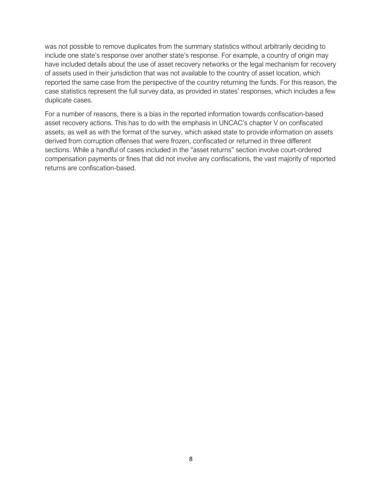was not possible to remove duplicates from the summary statistics without arbitrarily deciding to include one state's response over another state's response. For example, a country of origin may have included details about the use of asset recovery networks or the legal mechanism for recovery of assets used in their jurisdiction that was not available to the country of asset location, which reported the same case from the perspective of the country returning the funds. For this reason, the case statistics represent the full survey data, as provided in states' responses, which includes a few duplicate cases.

For a number of reasons, there is a bias in the reported information towards confiscation-based asset recovery actions. This has to do with the emphasis in UNCAC's chapter V on confiscated assets, as well as with the format of the survey, which asked state to provide information on assets derived from corruption offenses that were frozen, confiscated or returned in three different sections. While a handful of cases included in the "asset returns" section involve court-ordered compensation payments or fines that did not involve any confiscations, the vast majority of reported returns are confiscation-based.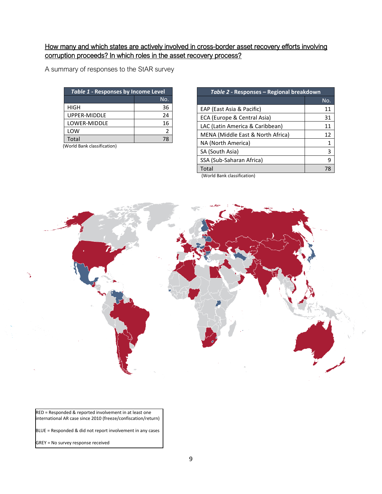## How many and which states are actively involved in cross-border asset recovery efforts involving corruption proceeds? In which roles in the asset recovery process?

A summary of responses to the StAR survey

| Table 1 - Responses by Income Level |    |  |  |
|-------------------------------------|----|--|--|
| No.                                 |    |  |  |
| <b>HIGH</b>                         | 36 |  |  |
| UPPER-MIDDLE                        | 24 |  |  |
| LOWER-MIDDLE                        | 16 |  |  |
| LOW                                 | 2  |  |  |
| Total                               | 78 |  |  |

(World Bank classification)

| Table 2 - Responses – Regional breakdown |  |  |  |  |
|------------------------------------------|--|--|--|--|
| No.                                      |  |  |  |  |
| 11                                       |  |  |  |  |
| 31                                       |  |  |  |  |
| 11                                       |  |  |  |  |
| 12                                       |  |  |  |  |
| 1                                        |  |  |  |  |
| 3                                        |  |  |  |  |
| 9                                        |  |  |  |  |
| 78                                       |  |  |  |  |
|                                          |  |  |  |  |

(World Bank classification)



RED = Responded & reported involvement in at least one international AR case since 2010 (freeze/confiscation/return)

BLUE = Responded & did not report involvement in any cases

GREY = No survey response received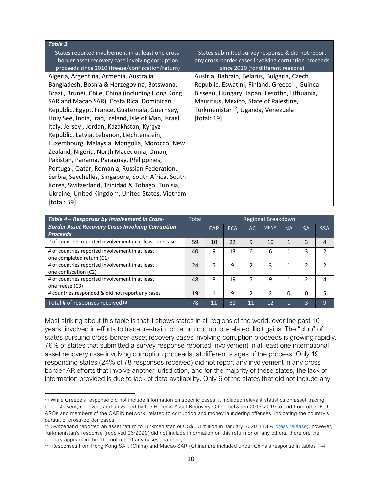#### *Table 3*

States reported involvement in at least one crossborder asset recovery case involving corruption proceeds since 2010 (freeze/confiscation/return)

Algeria, Argentina, Armenia, Australia Bangladesh, Bosnia & Herzegovina, Botswana, Brazil, Brunei, Chile, China (including Hong Kong SAR and Macao SAR), Costa Rica, Dominican Republic, Egypt, France, Guatemala, Guernsey, Holy See, India, Iraq, Ireland, Isle of Man, Israel, Italy, Jersey , Jordan, Kazakhstan, Kyrgyz Republic, Latvia, Lebanon, Liechtenstein, Luxembourg, Malaysia, Mongolia, Morocco, New Zealand, Nigeria, North Macedonia, Oman, Pakistan, Panama, Paraguay, Philippines, Portugal, Qatar, Romania, Russian Federation, Serbia, Seychelles, Singapore, South Africa, South Korea, Switzerland, Trinidad & Tobago, Tunisia, Ukraine, United Kingdom, United States, Vietnam [total: 59]

States submitted survey response & did not report any cross-border cases involving corruption proceeds since 2010 (for different reasons)

Austria, Bahrain, Belarus, Bulgaria, Czech Republic, Eswatini, Finland, Greece<sup>11</sup>, Guinea-Bisseau, Hungary, Japan, Lesotho, Lithuania, Mauritius, Mexico, State of Palestine, Turkmenistan<sup>12</sup>, Uganda, Venezuela [total: 19]

| Table 4 - Responses by Involvement in Cross-                                 |    |     |            |               | Regional Breakdown |           |                |            |
|------------------------------------------------------------------------------|----|-----|------------|---------------|--------------------|-----------|----------------|------------|
| <b>Border Asset Recovery Cases Involving Corruption</b><br><b>Proceeds</b>   |    | EAP | <b>ECA</b> | <b>LAC</b>    | <b>MENA</b>        | <b>NA</b> | <b>SA</b>      | <b>SSA</b> |
| # of countries reported involvement in at least one case                     | 59 | 10  | 22         | 9             | 10                 |           | 3              |            |
| # of countries reported involvement in at least<br>one completed return (C1) | 40 | 9   | 13         | 6             | 6                  |           | 3              |            |
| # of countries reported involvement in at least<br>one confiscation (C2)     | 24 | 5   | 9          | 2             | 3                  |           | 2              |            |
| # of countries reported involvement in at least<br>one freeze (C3)           | 48 | 8   | 19         | 5             | ٩                  |           | $\overline{2}$ |            |
| # countries responded & did not report any cases                             | 19 | 1   | 9          | $\mathcal{D}$ | 2                  | 0         | 0              |            |
| Total # of responses received <sup>13</sup>                                  | 78 | 11  | 31         | 11            | 12                 |           | 3              | 9          |

Most striking about this table is that it shows states in all regions of the world, over the past 10 years, involved in efforts to trace, restrain, or return corruption-related illicit gains. The "club" of states pursuing cross-border asset recovery cases involving corruption proceeds is growing rapidly. 76% of states that submitted a survey response reported involvement in at least one international asset recovery case involving corruption proceeds, at different stages of the process. Only 19 responding states (24% of 78 responses received) did not report any involvement in any crossborder AR efforts that involve another jurisdiction, and for the majority of these states, the lack of information provided is due to lack of data availability. Only 6 of the states that did not include any

<sup>11</sup> While Greece's response did not include information on specific cases, it included relevant statistics on asset tracing requests sent, received, and answered by the Hellenic Asset Recovery Office between 2013-2019 to and from other E.U AROs and members of the CARIN network, related to corruption and money laundering offenses, indicating the country's pursuit of cross-border cases.

<sup>12</sup> Switzerland reported an asset return to Turkmenistan of US\$1.3 million in January 2020 (FDFA [press release\)](https://www.admin.ch/gov/en/start/documentation/media-releases.msg-id-77797.html), however, Turkmenistan's response (received 06/2020) did not include information on this return or on any others, therefore the country appears in the "did not report any cases" category.

<sup>13</sup> Responses from Hong Kong SAR (China) and Macao SAR (China) are included under China's response in tables 1-4.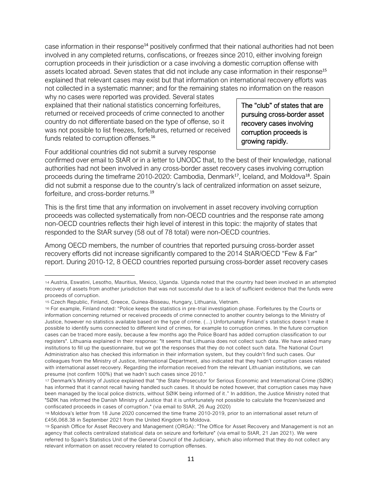case information in their response<sup>14</sup> positively confirmed that their national authorities had not been involved in any completed returns, confiscations, or freezes since 2010, either involving foreign corruption proceeds in their jurisdiction or a case involving a domestic corruption offense with assets located abroad. Seven states that did not include any case information in their response<sup>15</sup> explained that relevant cases may exist but that information on international recovery efforts was not collected in a systematic manner; and for the remaining states no information on the reason

why no cases were reported was provided. Several states explained that their national statistics concerning forfeitures, returned or received proceeds of crime connected to another country do not differentiate based on the type of offense, so it was not possible to list freezes, forfeitures, returned or received funds related to corruption offenses.<sup>16</sup>

The "club" of states that are pursuing cross-border asset recovery cases involving corruption proceeds is growing rapidly.

Four additional countries did not submit a survey response

confirmed over email to StAR or in a letter to UNODC that, to the best of their knowledge, national authorities had not been involved in any cross-border asset recovery cases involving corruption proceeds during the timeframe 2010-2020: Cambodia, Denmark<sup>17</sup>, Iceland, and Moldova<sup>18</sup>. Spain did not submit a response due to the country's lack of centralized information on asset seizure, forfeiture, and cross-border returns.<sup>19</sup>

This is the first time that any information on involvement in asset recovery involving corruption proceeds was collected systematically from non-OECD countries and the response rate among non-OECD countries reflects their high level of interest in this topic: the majority of states that responded to the StAR survey (58 out of 78 total) were non-OECD countries.

Among OECD members, the number of countries that reported pursuing cross-border asset recovery efforts did not increase significantly compared to the 2014 StAR/OECD "Few & Far" report. During 2010-12, 8 OECD countries reported pursuing cross-border asset recovery cases

<sup>14</sup> Austria, Eswatini, Lesotho, Mauritius, Mexico, Uganda. Uganda noted that the country had been involved in an attempted recovery of assets from another jurisdiction that was not successful due to a lack of sufficient evidence that the funds were proceeds of corruption.

<sup>15</sup> Czech Republic, Finland, Greece, Guinea-Bisseau, Hungary, Lithuania, Vietnam.

<sup>16</sup> For example, Finland noted: "Police keeps the statistics in pre-trial investigation phase. Forfeitures by the Courts or information concerning returned or received proceeds of crime connected to another country belongs to the Ministry of Justice, however no statistics available based on the type of crime. (...) Unfortunately Finland´s statistics doesn´t make it possible to identify sums connected to different kind of crimes, for example to corruption crimes. In the future corruption cases can be traced more easily, because a few months ago the Police Board has added corruption classification to our registers". Lithuania explained in their response: "It seems that Lithuania does not collect such data. We have asked many institutions to fill up the questionnaire, but we got the responses that they do not collect such data. The National Court Administration also has checked this information in their information system, but they couldn't find such cases. Our colleagues from the Ministry of Justice, International Department, also indicated that they hadn't corruption cases related with international asset recovery. Regarding the information received from the relevant Lith uanian institutions, we can presume (not confirm 100%) that we hadn't such cases since 2010."

<sup>17</sup> Denmark's Ministry of Justice explained that "the State Prosecutor for Serious Economic and International Crime (SØIK) has informed that it cannot recall having handled such cases. It should be noted however, that corruption cases may have been managed by the local police districts, without SØIK being informed of it." In addition, the Justice Ministry noted that "SØIK has informed the Danish Ministry of Justice that it is unfortunately not possible to calculate the frozen/seized and confiscated proceeds in cases of corruption." (via email to StAR, 26 Aug 2020)

<sup>18</sup> Moldova's letter from 18 June 2020 concerned the time frame 2010-2019, prior to an international asset return of £456,068.38 in September 2021 from the United Kingdom to Moldova.

<sup>19</sup> Spanish Office for Asset Recovery and Management (ORGA): "The Office for Asset Recovery and Management is not an agency that collects centralized statistical data on seizure and forfeiture" (via email to StAR, 21 Jan 2021). We were referred to Spain's Statistics Unit of the General Council of the Judiciary, which also informed that they do not collect any relevant information on asset recovery related to corruption offenses.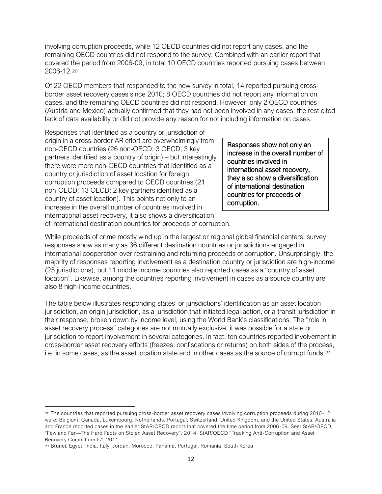involving corruption proceeds, while 12 OECD countries did not report any cases, and the remaining OECD countries did not respond to the survey. Combined with an earlier report that covered the period from 2006-09, in total 10 OECD countries reported pursuing cases between 2006-12. 20

Of 22 OECD members that responded to the new survey in total, 14 reported pursuing crossborder asset recovery cases since 2010; 8 OECD countries did not report any information on cases, and the remaining OECD countries did not respond. However, only 2 OECD countries (Austria and Mexico) actually confirmed that they had not been involved in any cases; the rest cited lack of data availability or did not provide any reason for not including information on cases.

Responses that identified as a country or jurisdiction of origin in a cross-border AR effort are overwhelmingly from non-OECD countries (26 non-OECD; 3 OECD; 3 key partners identified as a country of origin) – but interestingly there were more non-OECD countries that identified as a country or jurisdiction of asset location for foreign corruption proceeds compared to OECD countries (21 non-OECD; 13 OECD; 2 key partners identified as a country of asset location). This points not only to an increase in the overall number of countries involved in international asset recovery, it also shows a diversification

Responses show not only an increase in the overall number of countries involved in international asset recovery, they also show a diversification of international destination countries for proceeds of corruption.

of international destination countries for proceeds of corruption.

While proceeds of crime mostly wind up in the largest or regional global financial centers, survey responses show as many as 36 different destination countries or jurisdictions engaged in international cooperation over restraining and returning proceeds of corruption. Unsurprisingly, the majority of responses reporting involvement as a destination country or jurisdiction are high-income (25 jurisdictions), but 11 middle income countries also reported cases as a "country of asset location". Likewise, among the countries reporting involvement in cases as a source country are also 8 high-income countries.

The table below illustrates responding states' or jurisdictions' identification as an asset location jurisdiction, an origin jurisdiction, as a jurisdiction that initiated legal action, or a transit jurisdiction in their response, broken down by income level, using the World Bank's classifications. The "role in asset recovery process" categories are not mutually exclusive; it was possible for a state or jurisdiction to report involvement in several categories. In fact, ten countries reported involvement in cross-border asset recovery efforts (freezes, confiscations or returns) on both sides of the process, i.e. in some cases, as the asset location state and in other cases as the source of corrupt funds.<sup>21</sup>

<sup>20</sup> The countries that reported pursuing cross-border asset recovery cases involving corruption proceeds during 2010-12 were: Belgium, Canada, Luxembourg, Netherlands, Portugal, Switzerland, United Kingdom, and the United States. Australia and France reported cases in the earlier StAR/OECD report that covered the time period from 2006-09. See: StAR/OECD, "Few and Far—The Hard Facts on Stolen Asset Recovery", 2014; StAR/OECD "Tracking Anti-Corruption and Asset Recovery Commitments", 2011

<sup>21</sup> Brunei, Egypt, India, Italy, Jordan, Morocco, Panama, Portugal, Romania, South Korea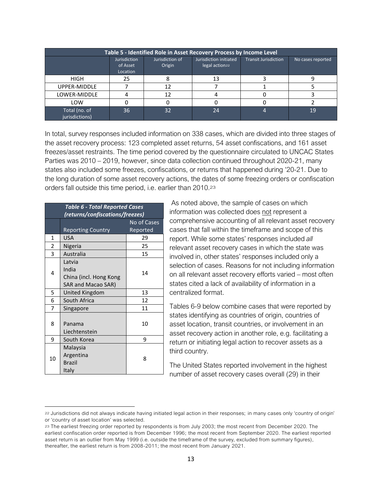| Table 5 - Identified Role in Asset Recovery Process by Income Level |                                             |                           |                                                      |                             |                   |  |
|---------------------------------------------------------------------|---------------------------------------------|---------------------------|------------------------------------------------------|-----------------------------|-------------------|--|
|                                                                     | <b>Jurisdiction</b><br>of Asset<br>Location | Jurisdiction of<br>Origin | Jurisdiction initiated<br>legal action <sub>22</sub> | <b>Transit Jurisdiction</b> | No cases reported |  |
| <b>HIGH</b>                                                         | 25                                          |                           | 13                                                   |                             |                   |  |
| UPPER-MIDDLE                                                        |                                             |                           |                                                      |                             |                   |  |
| LOWER-MIDDLE                                                        |                                             |                           |                                                      |                             |                   |  |
| LOW                                                                 |                                             |                           |                                                      |                             |                   |  |
| Total (no. of<br>jurisdictions)                                     | 36                                          | 32                        | 24                                                   |                             | 19                |  |

In total, survey responses included information on 338 cases, which are divided into three stages of the asset recovery process: 123 completed asset returns, 54 asset confiscations, and 161 asset freezes/asset restraints. The time period covered by the questionnaire circulated to UNCAC States Parties was 2010 – 2019, however, since data collection continued throughout 2020-21, many states also included some freezes, confiscations, or returns that happened during '20-21. Due to the long duration of some asset recovery actions, the dates of some freezing orders or confiscation orders fall outside this time period, i.e. earlier than 2010.23

| <b>Table 6 - Total Reported Cases</b><br>(returns/confiscations/freezes) |                                                                 |                                |  |  |
|--------------------------------------------------------------------------|-----------------------------------------------------------------|--------------------------------|--|--|
|                                                                          | <b>Reporting Country</b>                                        | <b>No of Cases</b><br>Reported |  |  |
| 1                                                                        | <b>USA</b>                                                      | 29                             |  |  |
| $\overline{2}$                                                           | Nigeria                                                         | 25                             |  |  |
| 3                                                                        | Australia                                                       | 15                             |  |  |
| 4                                                                        | Latvia<br>India<br>China (incl. Hong Kong<br>SAR and Macao SAR) | 14                             |  |  |
| 5                                                                        | <b>United Kingdom</b>                                           | 13                             |  |  |
| 6                                                                        | South Africa                                                    | 12                             |  |  |
| 7                                                                        | Singapore                                                       | 11                             |  |  |
| 8                                                                        | Panama<br>Liechtenstein                                         | 10                             |  |  |
| 9                                                                        | South Korea                                                     | 9                              |  |  |
| 10                                                                       | Malaysia<br>Argentina<br><b>Brazil</b><br>Italy                 | 8                              |  |  |

As noted above, the sample of cases on which information was collected does not represent a comprehensive accounting of all relevant asset recovery cases that fall within the timeframe and scope of this report. While some states' responses included *all* relevant asset recovery cases in which the state was involved in, other states' responses included only a selection of cases. Reasons for not including information on all relevant asset recovery efforts varied – most often states cited a lack of availability of information in a centralized format.

Tables 6-9 below combine cases that were reported by states identifying as countries of origin, countries of asset location, transit countries, or involvement in an asset recovery action in another role, e.g. facilitating a return or initiating legal action to recover assets as a third country.

The United States reported involvement in the highest number of asset recovery cases overall (29) in their

<sup>22</sup> Jurisdictions did not always indicate having initiated legal action in their responses; in many cases only 'country of origin' or 'country of asset location' was selected.

<sup>23</sup> The earliest freezing order reported by respondents is from July 2003; the most recent from December 2020. The earliest confiscation order reported is from December 1996; the most recent from September 2020. The earliest reported asset return is an outlier from May 1999 (i.e. outside the timeframe of the survey, excluded from summary figures), thereafter, the earliest return is from 2008-2011; the most recent from January 2021.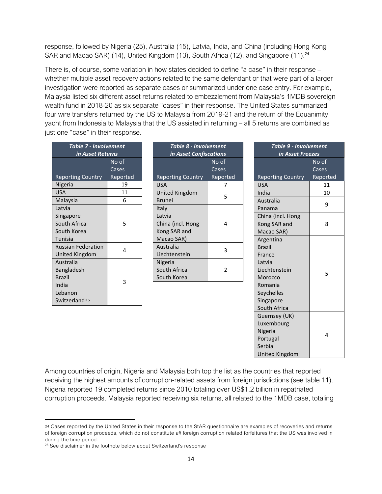response, followed by Nigeria (25), Australia (15), Latvia, India, and China (including Hong Kong SAR and Macao SAR) (14), United Kingdom (13), South Africa (12), and Singapore (11).<sup>24</sup>

There is, of course, some variation in how states decided to define "a case" in their response – whether multiple asset recovery actions related to the same defendant or that were part of a larger investigation were reported as separate cases or summarized under one case entry. For example, Malaysia listed six different asset returns related to embezzlement from Malaysia's 1MDB sovereign wealth fund in 2018-20 as six separate "cases" in their response. The United States summarized four wire transfers returned by the US to Malaysia from 2019-21 and the return of the Equanimity yacht from Indonesia to Malaysia that the US assisted in returning – all 5 returns are combined as just one "case" in their response.

| Table 7 - Involvement<br>in Asset Returns |          |  |  |  |  |
|-------------------------------------------|----------|--|--|--|--|
| No of                                     |          |  |  |  |  |
|                                           | Cases    |  |  |  |  |
| <b>Reporting Country</b>                  | Reported |  |  |  |  |
| Nigeria                                   | 19       |  |  |  |  |
| USA                                       | 11       |  |  |  |  |
| Malaysia                                  | 6        |  |  |  |  |
| Latvia                                    |          |  |  |  |  |
| Singapore                                 |          |  |  |  |  |
| South Africa                              | 5        |  |  |  |  |
| South Korea                               |          |  |  |  |  |
| Tunisia                                   |          |  |  |  |  |
| <b>Russian Federation</b>                 | Δ        |  |  |  |  |
| <b>United Kingdom</b>                     |          |  |  |  |  |
| Australia                                 |          |  |  |  |  |
| Bangladesh                                |          |  |  |  |  |
| Brazil                                    |          |  |  |  |  |
| 3<br>India                                |          |  |  |  |  |
| Lebanon                                   |          |  |  |  |  |
| Switzerland <sup>25</sup>                 |          |  |  |  |  |

| Table 8 - Involvement<br>in Asset Confiscations |          |  |  |  |  |
|-------------------------------------------------|----------|--|--|--|--|
| No of                                           |          |  |  |  |  |
| Cases                                           |          |  |  |  |  |
| <b>Reporting Country</b>                        | Reported |  |  |  |  |
| USA                                             |          |  |  |  |  |
| United Kingdom                                  | 5        |  |  |  |  |
| <b>Brunei</b>                                   |          |  |  |  |  |
| Italy                                           |          |  |  |  |  |
| Latvia                                          |          |  |  |  |  |
| China (incl. Hong                               | 4        |  |  |  |  |
| Kong SAR and                                    |          |  |  |  |  |
| Macao SAR)                                      |          |  |  |  |  |
| Australia                                       | 3        |  |  |  |  |
| Liechtenstein                                   |          |  |  |  |  |
| Nigeria                                         |          |  |  |  |  |
| South Africa<br>2                               |          |  |  |  |  |
| South Korea                                     |          |  |  |  |  |

| <b>Table 9 - Involvement</b> |          |  |  |  |
|------------------------------|----------|--|--|--|
| in Asset Freezes             |          |  |  |  |
| No of                        |          |  |  |  |
|                              | Cases    |  |  |  |
| <b>Reporting Country</b>     | Reported |  |  |  |
| <b>USA</b>                   | 11       |  |  |  |
| India                        | 10       |  |  |  |
| Australia                    | 9        |  |  |  |
| Panama                       |          |  |  |  |
| China (incl. Hong            |          |  |  |  |
| Kong SAR and                 | 8        |  |  |  |
| Macao SAR)                   |          |  |  |  |
| Argentina                    |          |  |  |  |
| <b>Brazil</b>                |          |  |  |  |
| France                       |          |  |  |  |
| Latvia                       |          |  |  |  |
| Liechtenstein                | 5        |  |  |  |
| Morocco                      |          |  |  |  |
| Romania                      |          |  |  |  |
| Seychelles                   |          |  |  |  |
| Singapore                    |          |  |  |  |
| South Africa                 |          |  |  |  |
| Guernsey (UK)                |          |  |  |  |
| Luxembourg                   |          |  |  |  |
| Nigeria                      | 4        |  |  |  |
| Portugal                     |          |  |  |  |
| Serbia                       |          |  |  |  |
| <b>United Kingdom</b>        |          |  |  |  |

Among countries of origin, Nigeria and Malaysia both top the list as the countries that reported receiving the highest amounts of corruption-related assets from foreign jurisdictions (see table 11). Nigeria reported 19 completed returns since 2010 totaling over US\$1.2 billion in repatriated corruption proceeds. Malaysia reported receiving six returns, all related to the 1MDB case, totaling

<sup>24</sup> Cases reported by the United States in their response to the StAR questionnaire are examples of recoveries and returns of foreign corruption proceeds, which do not constitute *all* foreign corruption related forfeitures that the US was involved in during the time period.

<sup>&</sup>lt;sup>25</sup> See disclaimer in the footnote below about Switzerland's response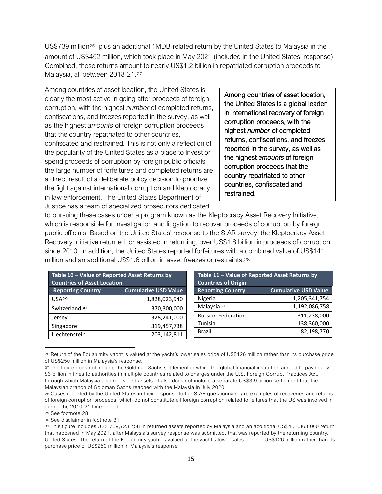US\$739 million26, plus an additional 1MDB-related return by the United States to Malaysia in the amount of US\$452 million, which took place in May 2021 (included in the United States' response). Combined, these returns amount to nearly US\$1.2 billion in repatriated corruption proceeds to Malaysia, all between 2018-21. 27

Among countries of asset location, the United States is clearly the most active in going after proceeds of foreign corruption, with the highest *number* of completed returns, confiscations, and freezes reported in the survey, as well as the highest *amounts* of foreign corruption proceeds that the country repatriated to other countries, confiscated and restrained. This is not only a reflection of the popularity of the United States as a place to invest or spend proceeds of corruption by foreign public officials; the large number of forfeitures and completed returns are a direct result of a deliberate policy decision to prioritize the fight against international corruption and kleptocracy in law enforcement. The United States Department of Justice has a team of specialized prosecutors dedicated

Among countries of asset location, the United States is a global leader in international recovery of foreign corruption proceeds, with the highest *number* of completed returns, confiscations, and freezes reported in the survey, as well as the highest *amounts* of foreign corruption proceeds that the country repatriated to other countries, confiscated and restrained.

to pursuing these cases under a program known as the Kleptocracy Asset Recovery Initiative, which is responsible for investigation and litigation to recover proceeds of corruption by foreign public officials. Based on the United States' response to the StAR survey, the Kleptocracy Asset Recovery Initiative returned, or assisted in returning, over US\$1.8 billion in proceeds of corruption since 2010. In addition, the United States reported forfeitures with a combined value of US\$141 million and an additional US\$1.6 billion in asset freezes or restraints.28

| Table 10 - Value of Reported Asset Returns by<br><b>Countries of Asset Location</b> |                             | Table 11 - Value of Reported Asset Returns by<br><b>Countries of Origin</b> |               |  |  |
|-------------------------------------------------------------------------------------|-----------------------------|-----------------------------------------------------------------------------|---------------|--|--|
| <b>Reporting Country</b>                                                            | <b>Cumulative USD Value</b> | <b>Cumulative USD Value</b><br><b>Reporting Country</b>                     |               |  |  |
| USA <sub>29</sub>                                                                   | 1,828,023,940               | Nigeria                                                                     | 1,205,341,754 |  |  |
| Switzerland <sup>30</sup>                                                           | 370,300,000                 | Malaysia <sup>31</sup>                                                      | 1,192,086,758 |  |  |
| Jersey                                                                              | 328,241,000                 | <b>Russian Federation</b>                                                   | 311,238,000   |  |  |
| Singapore                                                                           | 319,457,738                 | Tunisia                                                                     | 138,360,000   |  |  |
| Liechtenstein                                                                       | 203,142,811                 | Brazil                                                                      | 82,198,770    |  |  |

<sup>26</sup> Return of the Equanimity yacht is valued at the yacht's lower sales price of US\$126 million rather than its purchase price of US\$250 million in Malaysia's response.

<sup>27</sup> The figure does not include the Goldman Sachs settlement in which the global financial institution agreed to pay nearly \$3 billion in fines to authorities in multiple countries related to charges under the U.S. Foreign Corrupt Practices Act, through which Malaysia also recovered assets. It also does not include a separate US\$3.9 billion settlement that the Malaysian branch of Goldman Sachs reached with the Malaysia in July 2020.

<sup>28</sup> Cases reported by the United States in their response to the StAR questionnaire are examples of recoveries and returns of foreign corruption proceeds, which do not constitute all foreign corruption related forfeitures that the US was involved in during the 2010-21 time period.

<sup>29</sup> See footnote 28

<sup>30</sup> See disclaimer in footnote 31

<sup>31</sup> This figure includes US\$ 739,723,758 in returned assets reported by Malaysia and an additional US\$452,363,000 return that happened in May 2021, after Malaysia's survey response was submitted, that was reported by the returning country, United States. The return of the Equanimity yacht is valued at the yacht's lower sales price of US\$126 million rather than its purchase price of US\$250 million in Malaysia's response.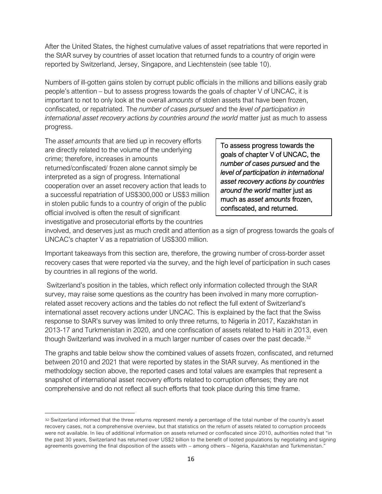After the United States, the highest cumulative values of asset repatriations that were reported in the StAR survey by countries of asset location that returned funds to a country of origin were reported by Switzerland, Jersey, Singapore, and Liechtenstein (see table 10).

Numbers of ill-gotten gains stolen by corrupt public officials in the millions and billions easily grab people's attention – but to assess progress towards the goals of chapter V of UNCAC, it is important to not to only look at the overall *amounts* of stolen assets that have been frozen, confiscated, or repatriated. The *number of cases pursued* and the *level of participation in international asset recovery actions by countries around the world* matter just as much to assess progress.

The *asset amounts* that are tied up in recovery efforts are directly related to the volume of the underlying crime; therefore, increases in amounts returned/confiscated/ frozen alone cannot simply be interpreted as a sign of progress. International cooperation over an asset recovery action that leads to a successful repatriation of US\$300,000 or US\$3 million in stolen public funds to a country of origin of the public official involved is often the result of significant investigative and prosecutorial efforts by the countries

To assess progress towards the goals of chapter V of UNCAC, the *number of cases pursued* and the *level of participation in international asset recovery actions by countries around the world* matter just as much as *asset amounts* frozen, confiscated, and returned.

involved, and deserves just as much credit and attention as a sign of progress towards the goals of UNCAC's chapter V as a repatriation of US\$300 million.

Important takeaways from this section are, therefore, the growing number of cross-border asset recovery cases that were reported via the survey, and the high level of participation in such cases by countries in all regions of the world.

Switzerland's position in the tables, which reflect only information collected through the StAR survey, may raise some questions as the country has been involved in many more corruptionrelated asset recovery actions and the tables do not reflect the full extent of Switzerland's international asset recovery actions under UNCAC. This is explained by the fact that the Swiss response to StAR's survey was limited to only three returns, to Nigeria in 2017, Kazakhstan in 2013-17 and Turkmenistan in 2020, and one confiscation of assets related to Haiti in 2013, even though Switzerland was involved in a much larger number of cases over the past decade.<sup>32</sup>

The graphs and table below show the combined values of assets frozen, confiscated, and returned between 2010 and 2021 that were reported by states in the StAR survey. As mentioned in the methodology section above, the reported cases and total values are examples that represent a snapshot of international asset recovery efforts related to corruption offenses; they are not comprehensive and do not reflect all such efforts that took place during this time frame.

<sup>32</sup> Switzerland informed that the three returns represent merely a percentage of the total number of the country's asset recovery cases, not a comprehensive overview, but that statistics on the return of assets related to corruption proceeds were not available. In lieu of additional information on assets returned or confiscated since 2010, authorities noted that "in the past 30 years, Switzerland has returned over US\$2 billion to the benefit of looted populations by negotiating and signing agreements governing the final disposition of the assets with – among others – Nigeria, Kazakhstan and Turkmenistan."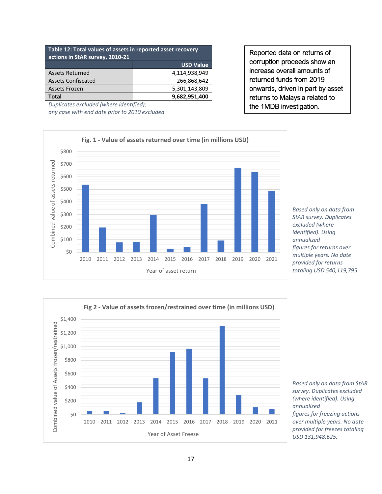| Table 12: Total values of assets in reported asset recovery<br>actions in StAR survey, 2010-21 |                  |  |  |  |  |
|------------------------------------------------------------------------------------------------|------------------|--|--|--|--|
|                                                                                                | <b>USD Value</b> |  |  |  |  |
| <b>Assets Returned</b>                                                                         | 4,114,938,949    |  |  |  |  |
| <b>Assets Confiscated</b>                                                                      | 266,868,642      |  |  |  |  |
| <b>Assets Frozen</b>                                                                           | 5,301,143,809    |  |  |  |  |
| <b>Total</b><br>9,682,951,400                                                                  |                  |  |  |  |  |
| Duplicates excluded (where identified);<br>any case with end date prior to 2010 excluded       |                  |  |  |  |  |

Reported data on returns of corruption proceeds show an increase overall amounts of returned funds from 2019 onwards, driven in part by asset returns to Malaysia related to the 1MDB investigation.



*Based only on data from StAR survey. Duplicates excluded (where identified). Using annualized figures for returns over multiple years. No date provided for returns totaling USD 540,119,795*.



*Based only on data from StAR survey. Duplicates excluded (where identified). Using annualized figures for freezing actions over multiple years. No date provided for freezes totaling USD 131,948,625.*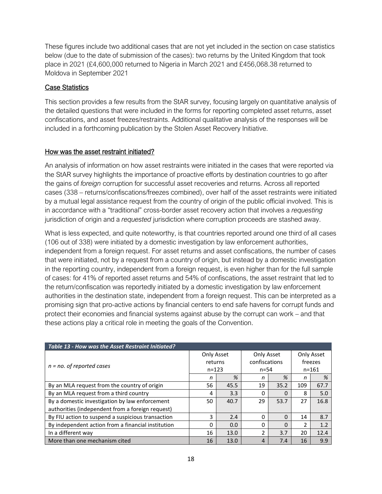These figures include two additional cases that are not yet included in the section on case statistics below (due to the date of submission of the cases): two returns by the United Kingdom that took place in 2021 (£4,600,000 returned to Nigeria in March 2021 and £456,068.38 returned to Moldova in September 2021

## Case Statistics

This section provides a few results from the StAR survey, focusing largely on quantitative analysis of the detailed questions that were included in the forms for reporting completed asset returns, asset confiscations, and asset freezes/restraints. Additional qualitative analysis of the responses will be included in a forthcoming publication by the Stolen Asset Recovery Initiative.

## How was the asset restraint initiated?

An analysis of information on how asset restraints were initiated in the cases that were reported via the StAR survey highlights the importance of proactive efforts by destination countries to go after the gains of *foreign* corruption for successful asset recoveries and returns. Across all reported cases (338 – returns/confiscations/freezes combined), over half of the asset restraints were initiated by a mutual legal assistance request from the country of origin of the public official involved. This is in accordance with a "traditional" cross-border asset recovery action that involves a *requesting* jurisdiction of origin and a *requested* jurisdiction where corruption proceeds are stashed away.

What is less expected, and quite noteworthy, is that countries reported around one third of all cases (106 out of 338) were initiated by a domestic investigation by law enforcement authorities, independent from a foreign request. For asset returns and asset confiscations, the number of cases that were initiated, not by a request from a country of origin, but instead by a domestic investigation in the reporting country, independent from a foreign request, is even higher than for the full sample of cases: for 41% of reported asset returns and 54% of confiscations, the asset restraint that led to the return/confiscation was reportedly initiated by a domestic investigation by law enforcement authorities in the destination state, independent from a foreign request. This can be interpreted as a promising sign that pro-active actions by financial centers to end safe havens for corrupt funds and protect their economies and financial systems against abuse by the corrupt can work – and that these actions play a critical role in meeting the goals of the Convention.

| Table 13 - How was the Asset Restraint Initiated?  |           |            |               |            |               |            |  |
|----------------------------------------------------|-----------|------------|---------------|------------|---------------|------------|--|
|                                                    |           | Only Asset |               | Only Asset |               | Only Asset |  |
| $n = no$ . of reported cases                       | returns   |            | confiscations |            | freezes       |            |  |
|                                                    | $n = 123$ |            | $n = 54$      |            | $n = 161$     |            |  |
|                                                    | n         | %          | n             | %          | n             | %          |  |
| By an MLA request from the country of origin       | 56        | 45.5       | 19            | 35.2       | 109           | 67.7       |  |
| By an MLA request from a third country             | 4         | 3.3        | 0             | $\Omega$   | 8             | 5.0        |  |
| By a domestic investigation by law enforcement     | 50        | 40.7       | 29            | 53.7       | 27            | 16.8       |  |
| authorities (independent from a foreign request)   |           |            |               |            |               |            |  |
| By FIU action to suspend a suspicious transaction  | 3         | 2.4        | 0             | $\Omega$   | 14            | 8.7        |  |
| By independent action from a financial institution | $\Omega$  | 0.0        | O             | $\Omega$   | $\mathcal{P}$ | 1.2        |  |
| In a different way                                 | 16        | 13.0       | $\mathcal{P}$ | 3.7        | 20            | 12.4       |  |
| More than one mechanism cited                      | 16        | 13.0       | 4             | 7.4        | 16            | 9.9        |  |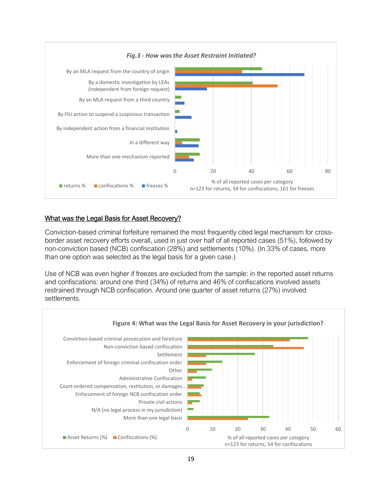

#### What was the Legal Basis for Asset Recovery?

Conviction-based criminal forfeiture remained the most frequently cited legal mechanism for crossborder asset recovery efforts overall, used in just over half of all reported cases (51%), followed by non-conviction based (NCB) confiscation (28%) and settlements (10%). (In 33% of cases, more than one option was selected as the legal basis for a given case.)

Use of NCB was even higher if freezes are excluded from the sample: in the reported asset returns and confiscations: around one third (34%) of returns and 46% of confiscations involved assets restrained through NCB confiscation. Around one quarter of asset returns (27%) involved settlements.

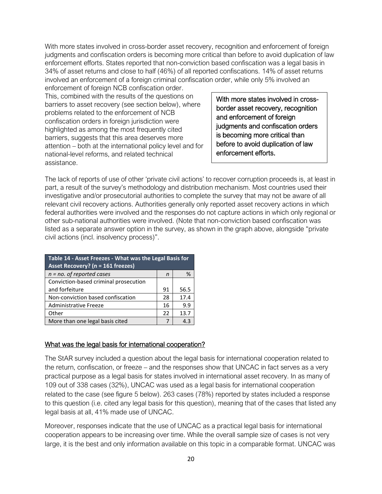With more states involved in cross-border asset recovery, recognition and enforcement of foreign judgments and confiscation orders is becoming more critical than before to avoid duplication of law enforcement efforts. States reported that non-conviction based confiscation was a legal basis in 34% of asset returns and close to half (46%) of all reported confiscations. 14% of asset returns involved an enforcement of a foreign criminal confiscation order, while only 5% involved an

enforcement of foreign NCB confiscation order. This, combined with the results of the questions on barriers to asset recovery (see section below), where problems related to the enforcement of NCB confiscation orders in foreign jurisdiction were highlighted as among the most frequently cited barriers, suggests that this area deserves more attention – both at the international policy level and for national-level reforms, and related technical assistance.

With more states involved in crossborder asset recovery, recognition and enforcement of foreign judgments and confiscation orders is becoming more critical than before to avoid duplication of law enforcement efforts.

The lack of reports of use of other 'private civil actions' to recover corruption proceeds is, at least in part, a result of the survey's methodology and distribution mechanism. Most countries used their investigative and/or prosecutorial authorities to complete the survey that may not be aware of all relevant civil recovery actions. Authorities generally only reported asset recovery actions in which federal authorities were involved and the responses do not capture actions in which only regional or other sub-national authorities were involved. (Note that non-conviction based confiscation was listed as a separate answer option in the survey, as shown in the graph above, alongside "private civil actions (incl. insolvency process)".

| Table 14 - Asset Freezes - What was the Legal Basis for<br>Asset Recovery? (n = 161 freezes) |    |      |  |  |
|----------------------------------------------------------------------------------------------|----|------|--|--|
| $n = no$ . of reported cases                                                                 | n  | %    |  |  |
| Conviction-based criminal prosecution                                                        |    |      |  |  |
| and forfeiture                                                                               | 91 | 56.5 |  |  |
| Non-conviction based confiscation                                                            | 28 | 17.4 |  |  |
| Administrative Freeze                                                                        | 16 | 9.9  |  |  |
| Other                                                                                        | 22 | 13.7 |  |  |
| More than one legal basis cited                                                              | 7  | 43   |  |  |

## What was the legal basis for international cooperation?

The StAR survey included a question about the legal basis for international cooperation related to the return, confiscation, or freeze – and the responses show that UNCAC in fact serves as a very practical purpose as a legal basis for states involved in international asset recovery. In as many of 109 out of 338 cases (32%), UNCAC was used as a legal basis for international cooperation related to the case (see figure 5 below). 263 cases (78%) reported by states included a response to this question (i.e. cited any legal basis for this question), meaning that of the cases that listed any legal basis at all, 41% made use of UNCAC.

Moreover, responses indicate that the use of UNCAC as a practical legal basis for international cooperation appears to be increasing over time. While the overall sample size of cases is not very large, it is the best and only information available on this topic in a comparable format. UNCAC was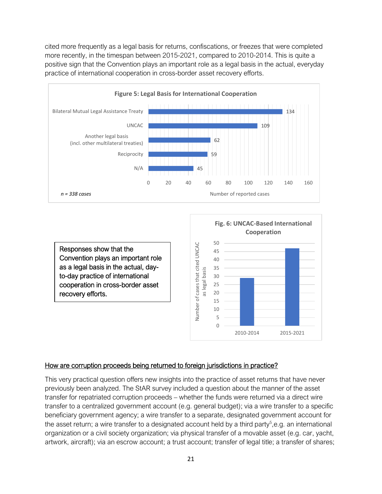cited more frequently as a legal basis for returns, confiscations, or freezes that were completed more recently, in the timespan between 2015-2021, compared to 2010-2014. This is quite a positive sign that the Convention plays an important role as a legal basis in the actual, everyday practice of international cooperation in cross-border asset recovery efforts.



Responses show that the Convention plays an important role as a legal basis in the actual, dayto-day practice of international cooperation in cross-border asset recovery efforts.



#### How are corruption proceeds being returned to foreign jurisdictions in practice?

This very practical question offers new insights into the practice of asset returns that have never previously been analyzed. The StAR survey included a question about the manner of the asset transfer for repatriated corruption proceeds – whether the funds were returned via a direct wire transfer to a centralized government account (e.g. general budget); via a wire transfer to a specific beneficiary government agency; a wire transfer to a separate, designated government account for the asset return; a wire transfer to a designated account held by a third party<sup>5</sup>,e.g. an international organization or a civil society organization; via physical transfer of a movable asset (e.g. car, yacht, artwork, aircraft); via an escrow account; a trust account; transfer of legal title; a transfer of shares;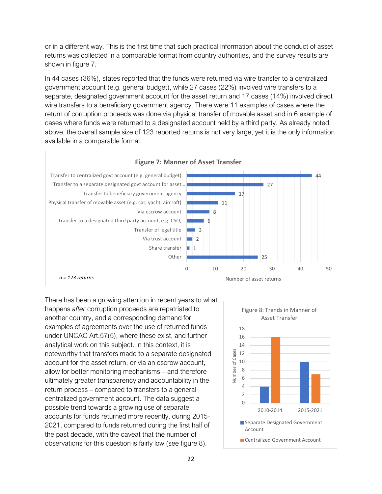or in a different way. This is the first time that such practical information about the conduct of asset returns was collected in a comparable format from country authorities, and the survey results are shown in figure 7.

In 44 cases (36%), states reported that the funds were returned via wire transfer to a centralized government account (e.g. general budget), while 27 cases (22%) involved wire transfers to a separate, designated government account for the asset return and 17 cases (14%) involved direct wire transfers to a beneficiary government agency. There were 11 examples of cases where the return of corruption proceeds was done via physical transfer of movable asset and in 6 example of cases where funds were returned to a designated account held by a third party. As already noted above, the overall sample size of 123 reported returns is not very large, yet it is the only information available in a comparable format.



There has been a growing attention in recent years to what happens *after* corruption proceeds are repatriated to another country, and a corresponding demand for examples of agreements over the use of returned funds under UNCAC Art.57(5), where these exist, and further analytical work on this subject. In this context, it is noteworthy that transfers made to a separate designated account for the asset return, or via an escrow account, allow for better monitoring mechanisms – and therefore ultimately greater transparency and accountability in the return process – compared to transfers to a general centralized government account. The data suggest a possible trend towards a growing use of separate accounts for funds returned more recently, during 2015- 2021, compared to funds returned during the first half of the past decade, with the caveat that the number of observations for this question is fairly low (see figure 8).

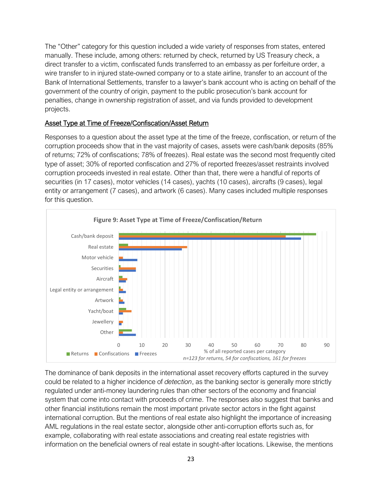The "Other" category for this question included a wide variety of responses from states, entered manually. These include, among others: returned by check, returned by US Treasury check, a direct transfer to a victim, confiscated funds transferred to an embassy as per forfeiture order, a wire transfer to in injured state-owned company or to a state airline, transfer to an account of the Bank of International Settlements, transfer to a lawyer's bank account who is acting on behalf of the government of the country of origin, payment to the public prosecution's bank account for penalties, change in ownership registration of asset, and via funds provided to development projects.

#### Asset Type at Time of Freeze/Confiscation/Asset Return

Responses to a question about the asset type at the time of the freeze, confiscation, or return of the corruption proceeds show that in the vast majority of cases, assets were cash/bank deposits (85% of returns; 72% of confiscations; 78% of freezes). Real estate was the second most frequently cited type of asset; 30% of reported confiscation and 27% of reported freezes/asset restraints involved corruption proceeds invested in real estate. Other than that, there were a handful of reports of securities (in 17 cases), motor vehicles (14 cases), yachts (10 cases), aircrafts (9 cases), legal entity or arrangement (7 cases), and artwork (6 cases). Many cases included multiple responses for this question.



The dominance of bank deposits in the international asset recovery efforts captured in the survey could be related to a higher incidence of *detection*, as the banking sector is generally more strictly regulated under anti-money laundering rules than other sectors of the economy and financial system that come into contact with proceeds of crime. The responses also suggest that banks and other financial institutions remain the most important private sector actors in the fight against international corruption. But the mentions of real estate also highlight the importance of increasing AML regulations in the real estate sector, alongside other anti-corruption efforts such as, for example, collaborating with real estate associations and creating real estate registries with information on the beneficial owners of real estate in sought-after locations. Likewise, the mentions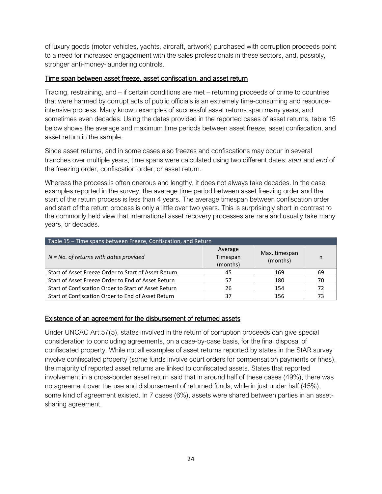of luxury goods (motor vehicles, yachts, aircraft, artwork) purchased with corruption proceeds point to a need for increased engagement with the sales professionals in these sectors, and, possibly, stronger anti-money-laundering controls.

## Time span between asset freeze, asset confiscation, and asset return

Tracing, restraining, and – if certain conditions are met – returning proceeds of crime to countries that were harmed by corrupt acts of public officials is an extremely time-consuming and resourceintensive process. Many known examples of successful asset returns span many years, and sometimes even decades. Using the dates provided in the reported cases of asset returns, table 15 below shows the average and maximum time periods between asset freeze, asset confiscation, and asset return in the sample.

Since asset returns, and in some cases also freezes and confiscations may occur in several tranches over multiple years, time spans were calculated using two different dates: *start* and *end* of the freezing order, confiscation order, or asset return.

Whereas the process is often onerous and lengthy, it does not always take decades. In the case examples reported in the survey, the average time period between asset freezing order and the start of the return process is less than 4 years. The average timespan between confiscation order and start of the return process is only a little over two years. This is surprisingly short in contrast to the commonly held view that international asset recovery processes are rare and usually take many years, or decades.

| Table 15 - Time spans between Freeze, Confiscation, and Return |                                 |                           |    |  |  |
|----------------------------------------------------------------|---------------------------------|---------------------------|----|--|--|
| $N = No.$ of returns with dates provided                       | Average<br>Timespan<br>(months) | Max. timespan<br>(months) | n  |  |  |
| Start of Asset Freeze Order to Start of Asset Return           | 45                              | 169                       | 69 |  |  |
| Start of Asset Freeze Order to End of Asset Return             | 57                              | 180                       | 70 |  |  |
| Start of Confiscation Order to Start of Asset Return           | 26                              | 154                       | 72 |  |  |
| Start of Confiscation Order to End of Asset Return             | 37                              | 156                       | 73 |  |  |

## Existence of an agreement for the disbursement of returned assets

Under UNCAC Art.57(5), states involved in the return of corruption proceeds can give special consideration to concluding agreements, on a case-by-case basis, for the final disposal of confiscated property. While not all examples of asset returns reported by states in the StAR survey involve confiscated property (some funds involve court orders for compensation payments or fines), the majority of reported asset returns are linked to confiscated assets. States that reported involvement in a cross-border asset return said that in around half of these cases (49%), there was no agreement over the use and disbursement of returned funds, while in just under half (45%), some kind of agreement existed. In 7 cases (6%), assets were shared between parties in an assetsharing agreement.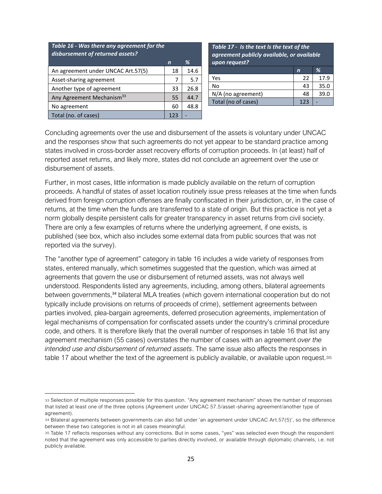| Table 16 - Was there any agreement for the<br>disbursement of returned assets? |     |      |
|--------------------------------------------------------------------------------|-----|------|
|                                                                                | n   | %    |
| An agreement under UNCAC Art.57(5)                                             | 18  | 14.6 |
| Asset-sharing agreement                                                        | 7   | 5.7  |
| Another type of agreement                                                      | 33  | 26.8 |
| Any Agreement Mechanism <sup>33</sup>                                          | 55  | 44.7 |
| No agreement                                                                   | 60  | 48.8 |
| Total (no. of cases)                                                           | 123 |      |

*Table 17 - Is the text Is the text of the agreement publicly available, or available upon request?*

|                     |     | ℅    |
|---------------------|-----|------|
| Yes                 | 22  | 17.9 |
| No                  | 43  | 35.0 |
| N/A (no agreement)  | 48  | 39.0 |
| Total (no of cases) | 123 |      |

Concluding agreements over the use and disbursement of the assets is voluntary under UNCAC and the responses show that such agreements do not yet appear to be standard practice among states involved in cross-border asset recovery efforts of corruption proceeds. In (at least) half of reported asset returns, and likely more, states did not conclude an agreement over the use or disbursement of assets.

Further, in most cases, little information is made publicly available on the return of corruption proceeds. A handful of states of asset location routinely issue press releases at the time when funds derived from foreign corruption offenses are finally confiscated in their jurisdiction, or, in the case of returns, at the time when the funds are transferred to a state of origin. But this practice is not yet a norm globally despite persistent calls for greater transparency in asset returns from civil society. There are only a few examples of returns where the underlying agreement, if one exists, is published (see box, which also includes some external data from public sources that was not reported via the survey).

The "another type of agreement" category in table 16 includes a wide variety of responses from states, entered manually, which sometimes suggested that the question, which was aimed at agreements that govern the use or disbursement of returned assets, was not always well understood. Respondents listed any agreements, including, among others, bilateral agreements between governments,<sup>34</sup> bilateral MLA treaties (which govern international cooperation but do not typically include provisions on returns of proceeds of crime), settlement agreements between parties involved, plea-bargain agreements, deferred prosecution agreements, implementation of legal mechanisms of compensation for confiscated assets under the country's criminal procedure code, and others. It is therefore likely that the overall number of responses in table 16 that list any agreement mechanism (55 cases) overstates the number of cases with an agreement *over the intended use and disbursement of returned assets*. The same issue also affects the responses in table 17 about whether the text of the agreement is publicly available, or available upon request.<sup>35</sup>

<sup>33</sup> Selection of multiple responses possible for this question. "Any agreement mechanism" shows the number of responses that listed at least one of the three options (Agreement under UNCAC 57.5/asset-sharing agreement/another type of agreement).

<sup>34</sup> Bilateral agreements between governments can also fall under 'an agreement under UNCAC Art.57(5)', so the difference between these two categories is not in all cases meaningful.

<sup>35</sup> Table 17 reflects responses without any corrections. But in some cases, "yes" was selected even though the respondent noted that the agreement was only accessible to parties directly involved, or available through diplomatic channels, i.e. not publicly available.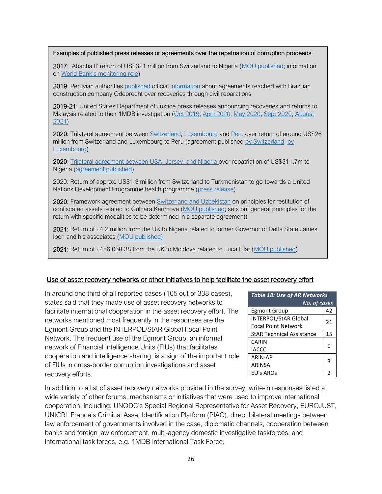#### Examples of published press releases or agreements over the repatriation of corruption proceeds

2017: 'Abacha II' return of US\$321 million from Switzerland to Nigeria ([MOU published;](https://www.newsd.admin.ch/newsd/message/attachments/50734.pdf) information on [World Bank's monitoring role](https://www.worldbank.org/en/news/press-release/2017/12/04/nigeria-world-bank-to-help-monitor-repatriated-abacha-funds))

2019: Peruvian authorities [published](https://www.mpfn.gob.pe/fiscalias_anticorrupcion/?K=1059&id=11150) official [information](https://procuraduriaanticorrupcion.minjus.gob.pe/novedad/procuraduria-anticorrupcion-ejecuto-el-cobro-de-65-millones-de-soles-a-la-empresa-odebrecht/) about agreements reached with Brazilian construction company Odebrecht over recoveries through civil reparations

2019-21: United States Department of Justice press releases announcing recoveries and returns to Malaysia related to their 1MDB investigation [\(Oct 2019;](https://www.justice.gov/usao-cdca/pr/us-reaches-settlement-recover-more-700-million-assets-allegedly-traceable-corruption) [April 2020;](https://www.justice.gov/opa/pr/us-repatriates-300-million-malaysia-proceeds-funds-misappropriated-1malaysia-development) [May 2020;](https://www.justice.gov/usao-cdca/pr/united-states-reaches-settlement-recover-more-49-million-assets-acquired-funds) [Sept 2020;](https://www.justice.gov/opa/pr/united-states-reaches-settlement-recover-more-60-million-involving-malaysian-sovereign-wealth) [August](https://www.justice.gov/opa/pr/over-1-billion-misappropriated-1mdb-funds-now-repatriated-malaysia)  [2021\)](https://www.justice.gov/opa/pr/over-1-billion-misappropriated-1mdb-funds-now-repatriated-malaysia)

2020: Trilateral agreement between [Switzerland,](https://www.admin.ch/gov/en/start/documentation/media-releases.msg-id-81674.html) [Luxembourg](https://gouvernement.lu/fr/actualites/toutes_actualites/communiques/2020/12-decembre/17-accord-trilateral.html) and [Peru](https://www.gob.pe/institucion/rree/noticias/321099-el-peru-suscribe-importante-acuerdo-con-suiza-y-luxemburgo-para-repatriar-mas-de-26-millones-de-dolares-provenientes-de-la-corrupcion) over return of around US\$26 million from Switzerland and Luxembourg to Peru (agreement published [by Switzerland,](https://www.newsd.admin.ch/newsd/message/attachments/65249.pdf) [by](https://legilux.public.lu/eli/etat/leg/loi/2021/07/23/a597/jo)  [Luxembourg\)](https://legilux.public.lu/eli/etat/leg/loi/2021/07/23/a597/jo)

2020[: Trilateral agreement between USA, Jersey, and Nigeria o](https://www.justice.gov/opa/pr/us-repatriates-over-3117-million-assets-nigerian-people-were-stolen-former-nigerian-dictator)ver repatriation of US\$311.7m to Nigeria [\(agreement published\)](https://www.justice.gov/opa/press-release/file/1273556/download)

2020: Return of approx. US\$1.3 million from Switzerland to Turkmenistan to go towards a United Nations Development Programme health programme [\(press release\)](https://www.admin.ch/gov/en/start/documentation/media-releases.msg-id-77797.html)

2020: Framework agreement between **Switzerland and Uzbekistan** on principles for restitution of confiscated assets related to Gulnara Karimova [\(MOU published;](https://www.newsd.admin.ch/newsd/message/attachments/65473.pdf) sets out general principles for the return with specific modalities to be determined in a separate agreement)

2021: Return of £4.2 million from the UK to Nigeria related to former Governor of Delta State James Ibori and his associates [\(MOU published\)](https://www.gov.uk/government/publications/return-of-stolen-assets-confiscated-by-the-uk-agreement-between-the-uk-and-nigeria/mou-between-uk-and-nigeria-on-the-modalities-for-return-of-stolen-assets-confiscated-by-the-uk-annex-1) 

2021: Return of £456,068.38 from the UK to Moldova related to Luca Filat [\(MOU published\)](https://www.gov.uk/government/publications/return-of-funds-forfeited-by-the-national-crime-agency-luca-filat-agreement-between-uk-and-moldova/mou-between-uk-and-moldova-on-the-return-of-funds-forfeited-by-the-national-crime-agency-in-relation-to-luca-filat)

#### Use of asset recovery networks or other initiatives to help facilitate the asset recovery effort

In around one third of all reported cases (105 out of 338 cases), states said that they made use of asset recovery networks to facilitate international cooperation in the asset recovery effort. The networks mentioned most frequently in the responses are the Egmont Group and the INTERPOL/StAR Global Focal Point Network. The frequent use of the Egmont Group, an informal network of Financial Intelligence Units (FIUs) that facilitates cooperation and intelligence sharing, is a sign of the important role of FIUs in cross-border corruption investigations and asset recovery efforts.

| <b>Table 18: Use of AR Networks</b> |    |
|-------------------------------------|----|
| No. of cases                        |    |
| <b>Egmont Group</b>                 | 42 |
| INTERPOL/StAR Global                | 21 |
| <b>Focal Point Network</b>          |    |
| <b>StAR Technical Assistance</b>    | 15 |
| CARIN                               | ٩  |
| <b>IACCC</b>                        |    |
| ARIN-AP                             | 3  |
| <b>ARINSA</b>                       |    |
| EU's AROs                           | 2  |

In addition to a list of asset recovery networks provided in the survey, write-in responses listed a wide variety of other forums, mechanisms or initiatives that were used to improve international cooperation, including: UNODC's Special Regional Representative for Asset Recovery, EUROJUST, UNICRI, France's Criminal Asset Identification Platform (PIAC), direct bilateral meetings between law enforcement of governments involved in the case, diplomatic channels, cooperation between banks and foreign law enforcement, multi-agency domestic investigative taskforces, and international task forces, e.g. 1MDB International Task Force.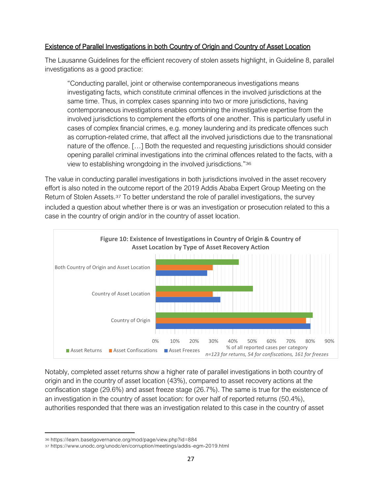#### Existence of Parallel Investigations in both Country of Origin and Country of Asset Location

The Lausanne Guidelines for the efficient recovery of stolen assets highlight, in Guideline 8, parallel investigations as a good practice:

"Conducting parallel, joint or otherwise contemporaneous investigations means investigating facts, which constitute criminal offences in the involved jurisdictions at the same time. Thus, in complex cases spanning into two or more jurisdictions, having contemporaneous investigations enables combining the investigative expertise from the involved jurisdictions to complement the efforts of one another. This is particularly useful in cases of complex financial crimes, e.g. money laundering and its predicate offences such as corruption-related crime, that affect all the involved jurisdictions due to the transnational nature of the offence. […] Both the requested and requesting jurisdictions should consider opening parallel criminal investigations into the criminal offences related to the facts, with a view to establishing wrongdoing in the involved jurisdictions."36

The value in conducting parallel investigations in both jurisdictions involved in the asset recovery effort is also noted in the outcome report of the 2019 Addis Ababa Expert Group Meeting on the Return of Stolen Assets.<sup>37</sup> To better understand the role of parallel investigations, the survey included a question about whether there is or was an investigation or prosecution related to this a case in the country of origin and/or in the country of asset location.



Notably, completed asset returns show a higher rate of parallel investigations in both country of origin and in the country of asset location (43%), compared to asset recovery actions at the confiscation stage (29.6%) and asset freeze stage (26.7%). The same is true for the existence of an investigation in the country of asset location: for over half of reported returns (50.4%), authorities responded that there was an investigation related to this case in the country of asset

<sup>36</sup> https://learn.baselgovernance.org/mod/page/view.php?id=884

<sup>37</sup> https://www.unodc.org/unodc/en/corruption/meetings/addis -egm-2019.html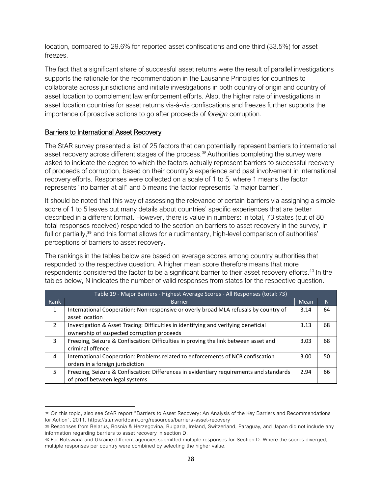location, compared to 29.6% for reported asset confiscations and one third (33.5%) for asset freezes.

The fact that a significant share of successful asset returns were the result of parallel investigations supports the rationale for the recommendation in the Lausanne Principles for countries to collaborate across jurisdictions and initiate investigations in both country of origin and country of asset location to complement law enforcement efforts. Also, the higher rate of investigations in asset location countries for asset returns vis-à-vis confiscations and freezes further supports the importance of proactive actions to go after proceeds of *foreign* corruption.

#### Barriers to International Asset Recovery

The StAR survey presented a list of 25 factors that can potentially represent barriers to international asset recovery across different stages of the process.<sup>38</sup> Authorities completing the survey were asked to indicate the degree to which the factors actually represent barriers to successful recovery of proceeds of corruption, based on their country's experience and past involvement in international recovery efforts. Responses were collected on a scale of 1 to 5, where 1 means the factor represents "no barrier at all" and 5 means the factor represents "a major barrier".

It should be noted that this way of assessing the relevance of certain barriers via assigning a simple score of 1 to 5 leaves out many details about countries' specific experiences that are better described in a different format. However, there is value in numbers: in total, 73 states (out of 80 total responses received) responded to the section on barriers to asset recovery in the survey, in full or partially,<sup>39</sup> and this format allows for a rudimentary, high-level comparison of authorities' perceptions of barriers to asset recovery.

The rankings in the tables below are based on average scores among country authorities that responded to the respective question. A higher mean score therefore means that more respondents considered the factor to be a significant barrier to their asset recovery efforts.<sup>40</sup> In the tables below, N indicates the number of valid responses from states for the respective question.

|               | Table 19 - Major Barriers - Highest Average Scores - All Responses (total: 73)                                                    |      |    |  |
|---------------|-----------------------------------------------------------------------------------------------------------------------------------|------|----|--|
| Rank          | <b>Barrier</b>                                                                                                                    | Mean | N  |  |
| 1             | International Cooperation: Non-responsive or overly broad MLA refusals by country of<br>asset location                            | 3.14 | 64 |  |
| $\mathcal{P}$ | Investigation & Asset Tracing: Difficulties in identifying and verifying beneficial<br>ownership of suspected corruption proceeds | 3.13 | 68 |  |
| 3             | Freezing, Seizure & Confiscation: Difficulties in proving the link between asset and<br>criminal offence                          | 3.03 | 68 |  |
| 4             | International Cooperation: Problems related to enforcements of NCB confiscation<br>orders in a foreign jurisdiction               | 3.00 | 50 |  |
| 5             | Freezing, Seizure & Confiscation: Differences in evidentiary requirements and standards<br>of proof between legal systems         | 2.94 | 66 |  |

<sup>38</sup> On this topic, also see StAR report "Barriers to Asset Recovery: An Analysis of the Key Barriers and Recommendations for Action", 2011. https://star.worldbank.org/resources/barriers-asset-recovery

<sup>39</sup> Responses from Belarus, Bosnia & Herzegovina, Bulgaria, Ireland, Switzerland, Paraguay, and Japan did not include any information regarding barriers to asset recovery in section D.

<sup>40</sup> For Botswana and Ukraine different agencies submitted multiple responses for Section D. Where the scores diverged, multiple responses per country were combined by selecting the higher value.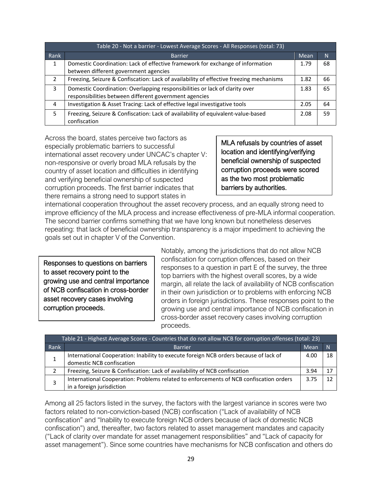| Table 20 - Not a barrier - Lowest Average Scores - All Responses (total: 73) |                                                                                                  |      |    |
|------------------------------------------------------------------------------|--------------------------------------------------------------------------------------------------|------|----|
| Rank                                                                         | <b>Barrier</b>                                                                                   | Mean | N  |
| 1                                                                            | Domestic Coordination: Lack of effective framework for exchange of information                   | 1.79 | 68 |
|                                                                              | between different government agencies                                                            |      |    |
| $\mathcal{P}$                                                                | Freezing, Seizure & Confiscation: Lack of availability of effective freezing mechanisms          | 1.82 | 66 |
| 3                                                                            | Domestic Coordination: Overlapping responsibilities or lack of clarity over                      | 1.83 | 65 |
|                                                                              | responsibilities between different government agencies                                           |      |    |
| 4                                                                            | Investigation & Asset Tracing: Lack of effective legal investigative tools                       | 2.05 | 64 |
| 5.                                                                           | Freezing, Seizure & Confiscation: Lack of availability of equivalent-value-based<br>confiscation | 2.08 | 59 |

Across the board, states perceive two factors as especially problematic barriers to successful international asset recovery under UNCAC's chapter V: non-responsive or overly broad MLA refusals by the country of asset location and difficulties in identifying and verifying beneficial ownership of suspected corruption proceeds. The first barrier indicates that there remains a strong need to support states in

MLA refusals by countries of asset location and identifying/verifying beneficial ownership of suspected corruption proceeds were scored as the two most problematic barriers by authorities.

international cooperation throughout the asset recovery process, and an equally strong need to improve efficiency of the MLA process and increase effectiveness of pre-MLA informal cooperation. The second barrier confirms something that we have long known but nonetheless deserves repeating: that lack of beneficial ownership transparency is a major impediment to achieving the goals set out in chapter V of the Convention.

Responses to questions on barriers to asset recovery point to the growing use and central importance of NCB confiscation in cross-border asset recovery cases involving corruption proceeds.

Notably, among the jurisdictions that do not allow NCB confiscation for corruption offences, based on their responses to a question in part E of the survey, the three top barriers with the highest overall scores, by a wide margin, all relate the lack of availability of NCB confiscation in their own jurisdiction or to problems with enforcing NCB orders in foreign jurisdictions. These responses point to the growing use and central importance of NCB confiscation in cross-border asset recovery cases involving corruption proceeds.

| Table 21 - Highest Average Scores - Countries that do not allow NCB for corruption offenses (total: 23) |                                                                                        |      |              |
|---------------------------------------------------------------------------------------------------------|----------------------------------------------------------------------------------------|------|--------------|
| Rank                                                                                                    | <b>Barrier</b>                                                                         | Mean | $\mathsf{N}$ |
|                                                                                                         | International Cooperation: Inability to execute foreign NCB orders because of lack of  | 4.00 | 18           |
|                                                                                                         | domestic NCB confiscation                                                              |      |              |
|                                                                                                         | Freezing, Seizure & Confiscation: Lack of availability of NCB confiscation             | 3.94 |              |
| 3                                                                                                       | International Cooperation: Problems related to enforcements of NCB confiscation orders | 3.75 |              |
|                                                                                                         | in a foreign jurisdiction                                                              |      |              |

Among all 25 factors listed in the survey, the factors with the largest variance in scores were two factors related to non-conviction-based (NCB) confiscation ("Lack of availability of NCB confiscation" and "Inability to execute foreign NCB orders because of lack of domestic NCB confiscation") and, thereafter, two factors related to asset management mandates and capacity ("Lack of clarity over mandate for asset management responsibilities" and "Lack of capacity for asset management"). Since some countries have mechanisms for NCB confiscation and others do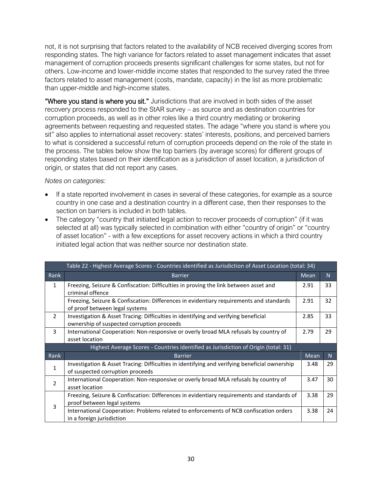not, it is not surprising that factors related to the availability of NCB received diverging scores from responding states. The high variance for factors related to asset management indicates that asset management of corruption proceeds presents significant challenges for some states, but not for others. Low-income and lower-middle income states that responded to the survey rated the three factors related to asset management (costs, mandate, capacity) in the list as more problematic than upper-middle and high-income states.

"Where you stand is where you sit." Jurisdictions that are involved in both sides of the asset recovery process responded to the StAR survey – as source and as destination countries for corruption proceeds, as well as in other roles like a third country mediating or brokering agreements between requesting and requested states. The adage "where you stand is where you sit" also applies to international asset recovery: states' interests, positions, and perceived barriers to what is considered a successful return of corruption proceeds depend on the role of the state in the process. The tables below show the top barriers (by average scores) for different groups of responding states based on their identification as a jurisdiction of asset location, a jurisdiction of origin, or states that did not report any cases.

#### *Notes on categories:*

- If a state reported involvement in cases in several of these categories, for example as a source country in one case and a destination country in a different case, then their responses to the section on barriers is included in both tables.
- The category "country that initiated legal action to recover proceeds of corruption" (if it was selected at all) was typically selected in combination with either "country of origin" or "country of asset location" - with a few exceptions for asset recovery actions in which a third country initiated legal action that was neither source nor destination state.

|                | Table 22 - Highest Average Scores - Countries identified as Jurisdiction of Asset Location (total: 34)                            |             |    |
|----------------|-----------------------------------------------------------------------------------------------------------------------------------|-------------|----|
| Rank           | <b>Barrier</b>                                                                                                                    | <b>Mean</b> | N. |
| 1              | Freezing, Seizure & Confiscation: Difficulties in proving the link between asset and<br>criminal offence                          | 2.91        | 33 |
|                | Freezing, Seizure & Confiscation: Differences in evidentiary requirements and standards<br>of proof between legal systems         | 2.91        | 32 |
| $\overline{2}$ | Investigation & Asset Tracing: Difficulties in identifying and verifying beneficial<br>ownership of suspected corruption proceeds | 2.85        | 33 |
| 3              | International Cooperation: Non-responsive or overly broad MLA refusals by country of<br>asset location                            | 2.79        | 29 |
|                | Highest Average Scores - Countries identified as Jurisdiction of Origin (total: 31)                                               |             |    |
| Rank           | <b>Barrier</b>                                                                                                                    | Mean        | N. |
| 1              | Investigation & Asset Tracing: Difficulties in identifying and verifying beneficial ownership<br>of suspected corruption proceeds | 3.48        | 29 |
| 2              | International Cooperation: Non-responsive or overly broad MLA refusals by country of<br>asset location                            | 3.47        | 30 |
| 3              | Freezing, Seizure & Confiscation: Differences in evidentiary requirements and standards of<br>proof between legal systems         | 3.38        | 29 |
|                | International Cooperation: Problems related to enforcements of NCB confiscation orders<br>in a foreign jurisdiction               | 3.38        | 24 |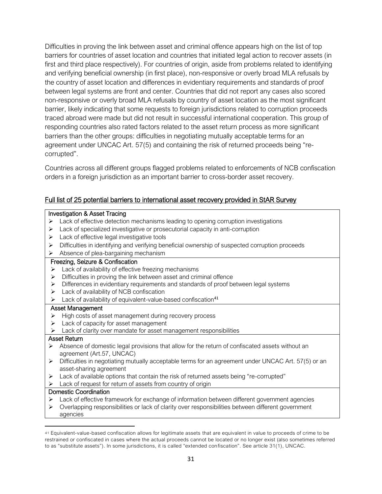Difficulties in proving the link between asset and criminal offence appears high on the list of top barriers for countries of asset location and countries that initiated legal action to recover assets (in first and third place respectively). For countries of origin, aside from problems related to identifying and verifying beneficial ownership (in first place), non-responsive or overly broad MLA refusals by the country of asset location and differences in evidentiary requirements and standards of proof between legal systems are front and center. Countries that did not report any cases also scored non-responsive or overly broad MLA refusals by country of asset location as the most significant barrier, likely indicating that some requests to foreign jurisdictions related to corruption proceeds traced abroad were made but did not result in successful international cooperation. This group of responding countries also rated factors related to the asset return process as more significant barriers than the other groups: difficulties in negotiating mutually acceptable terms for an agreement under UNCAC Art. 57(5) and containing the risk of returned proceeds being "recorrupted".

Countries across all different groups flagged problems related to enforcements of NCB confiscation orders in a foreign jurisdiction as an important barrier to cross-border asset recovery.

## Full list of 25 potential barriers to international asset recovery provided in StAR Survey

#### Investigation & Asset Tracing

- $\triangleright$  Lack of effective detection mechanisms leading to opening corruption investigations
- ➢ Lack of specialized investigative or prosecutorial capacity in anti-corruption
- $\triangleright$  Lack of effective legal investigative tools
- ➢ Difficulties in identifying and verifying beneficial ownership of suspected corruption proceeds
- ➢ Absence of plea-bargaining mechanism

#### Freezing, Seizure & Confiscation

- ➢ Lack of availability of effective freezing mechanisms
- ➢ Difficulties in proving the link between asset and criminal offence
- ➢ Differences in evidentiary requirements and standards of proof between legal systems
- ➢ Lack of availability of NCB confiscation
- $\blacktriangleright$  Lack of availability of equivalent-value-based confiscation<sup>41</sup>

#### Asset Management

- ➢ High costs of asset management during recovery process
- $\triangleright$  Lack of capacity for asset management
- $\blacktriangleright$  Lack of clarity over mandate for asset management responsibilities

#### Asset Return

- ➢ Absence of domestic legal provisions that allow for the return of confiscated assets without an agreement (Art.57, UNCAC)
- $\triangleright$  Difficulties in negotiating mutually acceptable terms for an agreement under UNCAC Art. 57(5) or an asset-sharing agreement
- ➢ Lack of available options that contain the risk of returned assets being "re-corrupted"
- ➢ Lack of request for return of assets from country of origin

#### Domestic Coordination

- ➢ Lack of effective framework for exchange of information between different government agencies
- ➢ Overlapping responsibilities or lack of clarity over responsibilities between different government agencies

<sup>41</sup> Equivalent-value-based confiscation allows for legitimate assets that are equivalent in value to proceeds of crime to be restrained or confiscated in cases where the actual proceeds cannot be located or no longer exist (also sometimes referred to as "substitute assets"). In some jurisdictions, it is called "extended confiscation". See article 31(1), UNCAC.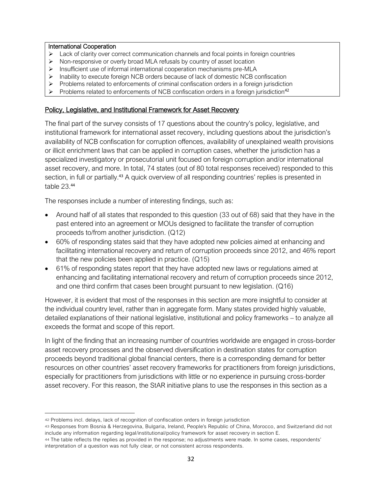#### International Cooperation

- $\triangleright$  Lack of clarity over correct communication channels and focal points in foreign countries
- ➢ Non-responsive or overly broad MLA refusals by country of asset location
- ➢ Insufficient use of informal international cooperation mechanisms pre-MLA
- ➢ Inability to execute foreign NCB orders because of lack of domestic NCB confiscation
- ➢ Problems related to enforcements of criminal confiscation orders in a foreign jurisdiction
- $\triangleright$  Problems related to enforcements of NCB confiscation orders in a foreign jurisdiction<sup>42</sup>

#### Policy, Legislative, and Institutional Framework for Asset Recovery

The final part of the survey consists of 17 questions about the country's policy, legislative, and institutional framework for international asset recovery, including questions about the jurisdiction's availability of NCB confiscation for corruption offences, availability of unexplained wealth provisions or illicit enrichment laws that can be applied in corruption cases, whether the jurisdiction has a specialized investigatory or prosecutorial unit focused on foreign corruption and/or international asset recovery, and more. In total, 74 states (out of 80 total responses received) responded to this section, in full or partially.<sup>43</sup> A quick overview of all responding countries' replies is presented in table 23. 44

The responses include a number of interesting findings, such as:

- Around half of all states that responded to this question (33 out of 68) said that they have in the past entered into an agreement or MOUs designed to facilitate the transfer of corruption proceeds to/from another jurisdiction. (Q12)
- 60% of responding states said that they have adopted new policies aimed at enhancing and facilitating international recovery and return of corruption proceeds since 2012, and 46% report that the new policies been applied in practice. (Q15)
- 61% of responding states report that they have adopted new laws or regulations aimed at enhancing and facilitating international recovery and return of corruption proceeds since 2012, and one third confirm that cases been brought pursuant to new legislation. (Q16)

However, it is evident that most of the responses in this section are more insightful to consider at the individual country level, rather than in aggregate form. Many states provided highly valuable, detailed explanations of their national legislative, institutional and policy frameworks – to analyze all exceeds the format and scope of this report.

In light of the finding that an increasing number of countries worldwide are engaged in cross-border asset recovery processes and the observed diversification in destination states for corruption proceeds beyond traditional global financial centers, there is a corresponding demand for better resources on other countries' asset recovery frameworks for practitioners from foreign jurisdictions, especially for practitioners from jurisdictions with little or no experience in pursuing cross-border asset recovery. For this reason, the StAR initiative plans to use the responses in this section as a

<sup>42</sup> Problems incl. delays, lack of recognition of confiscation orders in foreign jurisdiction

<sup>43</sup> Responses from Bosnia & Herzegovina, Bulgaria, Ireland, People's Republic of China, Morocco, and Switzerland did not include any information regarding legal/institutional/policy framework for asset recovery in section E.

<sup>44</sup> The table reflects the replies as provided in the response; no adjustments were made. In some cases, respondents' interpretation of a question was not fully clear, or not consistent across respondents.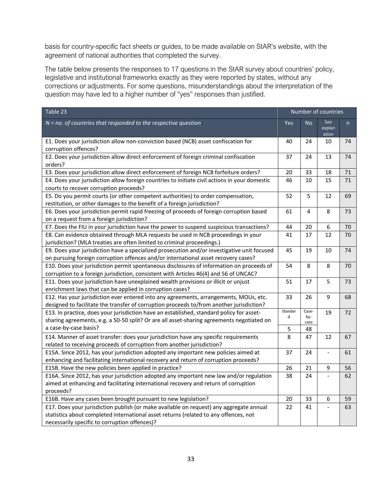basis for country-specific fact sheets or guides, to be made available on StAR's website, with the agreement of national authorities that completed the survey.

The table below presents the responses to 17 questions in the StAR survey about countries' policy, legislative and institutional frameworks exactly as they were reported by states, without any corrections or adjustments. For some questions, misunderstandings about the interpretation of the question may have led to a higher number of "yes" responses than justified.

| Table 23                                                                                                                                                                                                                         | Number of countries |                      |                        |    |
|----------------------------------------------------------------------------------------------------------------------------------------------------------------------------------------------------------------------------------|---------------------|----------------------|------------------------|----|
| $N = no$ . of countries that responded to the respective question                                                                                                                                                                | Yes                 | <b>No</b>            | See<br>explan<br>ation | n  |
| E1. Does your jurisdiction allow non-conviction based (NCB) asset confiscation for<br>corruption offences?                                                                                                                       | 40                  | 24                   | 10                     | 74 |
| E2. Does your jurisdiction allow direct enforcement of foreign criminal confiscation<br>orders?                                                                                                                                  | 37                  | 24                   | 13                     | 74 |
| E3. Does your jurisdiction allow direct enforcement of foreign NCB forfeiture orders?                                                                                                                                            | 20                  | 33                   | 18                     | 71 |
| E4. Does your jurisdiction allow foreign countries to initiate civil actions in your domestic<br>courts to recover corruption proceeds?                                                                                          | 46                  | 10                   | 15                     | 71 |
| E5. Do you permit courts (or other competent authorities) to order compensation,<br>restitution, or other damages to the benefit of a foreign jurisdiction?                                                                      | 52                  | 5                    | 12                     | 69 |
| E6. Does your jurisdiction permit rapid freezing of proceeds of foreign corruption based<br>on a request from a foreign jurisdiction?                                                                                            | 61                  | 4                    | 8                      | 73 |
| E7. Does the FIU in your jurisdiction have the power to suspend suspicious transactions?                                                                                                                                         | 44                  | 20                   | 6                      | 70 |
| E8. Can evidence obtained through MLA requests be used in NCB proceedings in your<br>jurisdiction? (MLA treaties are often limited to criminal proceedings.)                                                                     | 41                  | 17                   | 12                     | 70 |
| E9. Does your jurisdiction have a specialized prosecution and/or investigative unit focused<br>on pursuing foreign corruption offences and/or international asset recovery cases?                                                | 45                  | 19                   | 10                     | 74 |
| E10. Does your jurisdiction permit spontaneous disclosures of information on proceeds of<br>corruption to a foreign jurisdiction, consistent with Articles 46(4) and 56 of UNCAC?                                                | 54                  | 8                    | 8                      | 70 |
| E11. Does your jurisdiction have unexplained wealth provisions or illicit or unjust<br>enrichment laws that can be applied in corruption cases?                                                                                  | 51                  | 17                   | 5                      | 73 |
| E12. Has your jurisdiction ever entered into any agreements, arrangements, MOUs, etc.<br>designed to facilitate the transfer of corruption proceeds to/from another jurisdiction?                                                | 33                  | 26                   | 9                      | 68 |
| E13. In practice, does your jurisdiction have an established, standard policy for asset-<br>sharing agreements, e.g. a 50-50 split? Or are all asset-sharing agreements negotiated on                                            | Standar<br>d        | Case-<br>by-<br>case | 19                     | 72 |
| a case-by-case basis?                                                                                                                                                                                                            | 5                   | 48                   |                        |    |
| E14. Manner of asset transfer: does your jurisdiction have any specific requirements<br>related to receiving proceeds of corruption from another jurisdiction?                                                                   | 8                   | 47                   | 12                     | 67 |
| E15A. Since 2012, has your jurisdiction adopted any important new policies aimed at<br>enhancing and facilitating international recovery and return of corruption proceeds?                                                      | 37                  | 24                   | $\Box$                 | 61 |
| E15B. Have the new policies been applied in practice?                                                                                                                                                                            | 26                  | 21                   | 9                      | 56 |
| E16A. Since 2012, has your jurisdiction adopted any important new law and/or regulation<br>aimed at enhancing and facilitating international recovery and return of corruption<br>proceeds?                                      | 38                  | 24                   |                        | 62 |
| E16B. Have any cases been brought pursuant to new legislation?                                                                                                                                                                   | 20                  | 33                   | 6                      | 59 |
| E17. Does your jurisdiction publish (or make available on request) any aggregate annual<br>statistics about completed international asset returns (related to any offences, not<br>necessarily specific to corruption offences)? | 22                  | 41                   | $\blacksquare$         | 63 |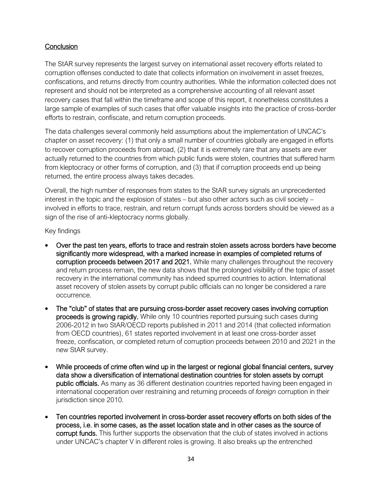## **Conclusion**

The StAR survey represents the largest survey on international asset recovery efforts related to corruption offenses conducted to date that collects information on involvement in asset freezes, confiscations, and returns directly from country authorities. While the information collected does not represent and should not be interpreted as a comprehensive accounting of all relevant asset recovery cases that fall within the timeframe and scope of this report, it nonetheless constitutes a large sample of examples of such cases that offer valuable insights into the practice of cross-border efforts to restrain, confiscate, and return corruption proceeds.

The data challenges several commonly held assumptions about the implementation of UNCAC's chapter on asset recovery: (1) that only a small number of countries globally are engaged in efforts to recover corruption proceeds from abroad, (2) that it is extremely rare that any assets are ever actually returned to the countries from which public funds were stolen, countries that suffered harm from kleptocracy or other forms of corruption, and (3) that if corruption proceeds end up being returned, the entire process always takes decades.

Overall, the high number of responses from states to the StAR survey signals an unprecedented interest in the topic and the explosion of states – but also other actors such as civil society – involved in efforts to trace, restrain, and return corrupt funds across borders should be viewed as a sign of the rise of anti-kleptocracy norms globally.

Key findings

- Over the past ten years, efforts to trace and restrain stolen assets across borders have become significantly more widespread, with a marked increase in examples of completed returns of corruption proceeds between 2017 and 2021. While many challenges throughout the recovery and return process remain, the new data shows that the prolonged visibility of the topic of asset recovery in the international community has indeed spurred countries to action. International asset recovery of stolen assets by corrupt public officials can no longer be considered a rare occurrence.
- The "club" of states that are pursuing cross-border asset recovery cases involving corruption proceeds is growing rapidly. While only 10 countries reported pursuing such cases during 2006-2012 in two StAR/OECD reports published in 2011 and 2014 (that collected information from OECD countries), 61 states reported involvement in at least one cross-border asset freeze, confiscation, or completed return of corruption proceeds between 2010 and 2021 in the new StAR survey.
- While proceeds of crime often wind up in the largest or regional global financial centers, survey data show a diversification of international destination countries for stolen assets by corrupt public officials. As many as 36 different destination countries reported having been engaged in international cooperation over restraining and returning proceeds of *foreign* corruption in their jurisdiction since 2010.
- Ten countries reported involvement in cross-border asset recovery efforts on both sides of the process, i.e. in some cases, as the asset location state and in other cases as the source of corrupt funds. This further supports the observation that the club of states involved in actions under UNCAC's chapter V in different roles is growing. It also breaks up the entrenched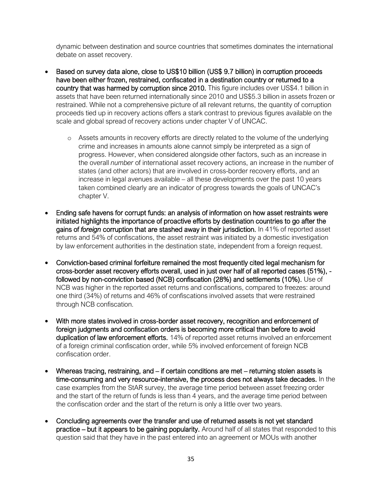dynamic between destination and source countries that sometimes dominates the international debate on asset recovery.

- Based on survey data alone, close to US\$10 billion (US\$ 9.7 billion) in corruption proceeds have been either frozen, restrained, confiscated in a destination country or returned to a country that was harmed by corruption since 2010. This figure includes over US\$4.1 billion in assets that have been returned internationally since 2010 and US\$5.3 billion in assets frozen or restrained. While not a comprehensive picture of all relevant returns, the quantity of corruption proceeds tied up in recovery actions offers a stark contrast to previous figures available on the scale and global spread of recovery actions under chapter V of UNCAC.
	- o Assets amounts in recovery efforts are directly related to the volume of the underlying crime and increases in amounts alone cannot simply be interpreted as a sign of progress. However, when considered alongside other factors, such as an increase in the overall *number* of international asset recovery actions, an increase in the number of states (and other actors) that are involved in cross-border recovery efforts, and an increase in legal avenues available – all these developments over the past 10 years taken combined clearly are an indicator of progress towards the goals of UNCAC's chapter V.
- Ending safe havens for corrupt funds: an analysis of information on how asset restraints were initiated highlights the importance of proactive efforts by destination countries to go after the gains of *foreign* corruption that are stashed away in their jurisdiction. In 41% of reported asset returns and 54% of confiscations, the asset restraint was initiated by a domestic investigation by law enforcement authorities in the destination state, independent from a foreign request.
- Conviction-based criminal forfeiture remained the most frequently cited legal mechanism for cross-border asset recovery efforts overall, used in just over half of all reported cases (51%), followed by non-conviction based (NCB) confiscation (28%) and settlements (10%). Use of NCB was higher in the reported asset returns and confiscations, compared to freezes: around one third (34%) of returns and 46% of confiscations involved assets that were restrained through NCB confiscation.
- With more states involved in cross-border asset recovery, recognition and enforcement of foreign judgments and confiscation orders is becoming more critical than before to avoid duplication of law enforcement efforts. 14% of reported asset returns involved an enforcement of a foreign criminal confiscation order, while 5% involved enforcement of foreign NCB confiscation order.
- Whereas tracing, restraining, and if certain conditions are met returning stolen assets is time-consuming and very resource-intensive, the process does not always take decades. In the case examples from the StAR survey, the average time period between asset freezing order and the start of the return of funds is less than 4 years, and the average time period between the confiscation order and the start of the return is only a little over two years.
- Concluding agreements over the transfer and use of returned assets is not yet standard practice – but it appears to be gaining popularity. Around half of all states that responded to this question said that they have in the past entered into an agreement or MOUs with another